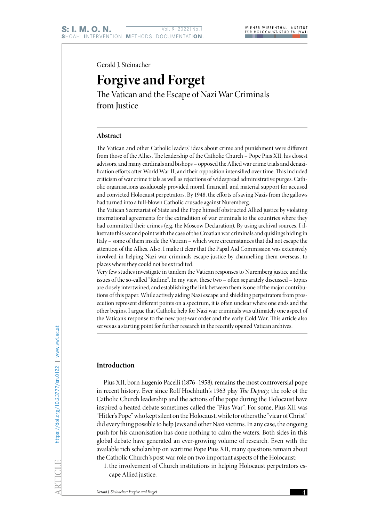Gerald J. Steinacher

# **Forgive and Forget**

The Vatican and the Escape of Nazi War Criminals from Justice

### **Abstract**

The Vatican and other Catholic leaders' ideas about crime and punishment were different from those of the Allies. The leadership of the Catholic Church – Pope Pius XII, his closest advisors, and many cardinals and bishops – opposed the Allied war crime trials and denazification efforts after World War II, and their opposition intensified over time. This included criticism of war crime trials as well as rejections of widespread administrative purges. Catholic organisations assiduously provided moral, financial, and material support for accused and convicted Holocaust perpetrators. By 1948, the efforts of saving Nazis from the gallows had turned into a full-blown Catholic crusade against Nuremberg.

The Vatican Secretariat of State and the Pope himself obstructed Allied justice by violating international agreements for the extradition of war criminals to the countries where they had committed their crimes (e.g. the Moscow Declaration). By using archival sources, I illustrate this second point with the case of the Croatian war criminals and quislings hiding in Italy – some of them inside the Vatican – which were circumstances that did not escape the attention of the Allies. Also, I make it clear that the Papal Aid Commission was extensively involved in helping Nazi war criminals escape justice by channelling them overseas, to places where they could not be extradited.

Very few studies investigate in tandem the Vatican responses to Nuremberg justice and the issues of the so-called "Ratline". In my view, these two – often separately discussed – topics are closely intertwined, and establishing the link between them is one of the major contributions of this paper. While actively aiding Nazi escape and shielding perpetrators from prosecution represent different points on a spectrum, it is often unclear where one ends and the other begins. I argue that Catholic help for Nazi war criminals was ultimately one aspect of the Vatican's response to the new post-war order and the early Cold War. This article also serves as a starting point for further research in the recently opened Vatican archives.

## **Introduction**

Pius XII, born Eugenio Pacelli (1876–1958), remains the most controversial pope in recent history. Ever since Rolf Hochhuth's 1963 play *The Deputy*, the role of the Catholic Church leadership and the actions of the pope during the Holocaust have inspired a heated debate sometimes called the "Pius War". For some, Pius XII was "Hitler's Pope" who kept silent on the Holocaust, while for others the "vicar of Christ" did everything possible to help Jews and other Nazi victims. In any case, the ongoing push for his canonisation has done nothing to calm the waters. Both sides in this global debate have generated an ever-growing volume of research. Even with the available rich scholarship on wartime Pope Pius XII, many questions remain about the Catholic Church's post-war role on two important aspects of the Holocaust:

1. the involvement of Church institutions in helping Holocaust perpetrators escape Allied justice;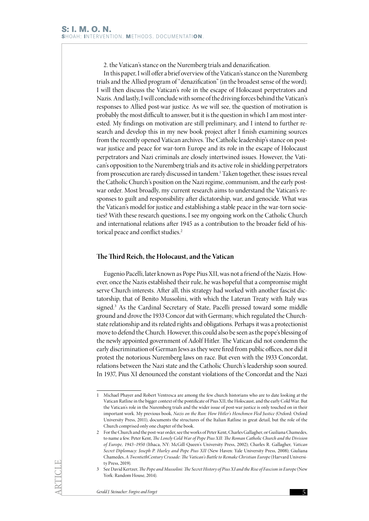2. the Vatican's stance on the Nuremberg trials and denazification.

In this paper, I will offer a brief overview of the Vatican's stance on the Nuremberg trials and the Allied program of "denazification" (in the broadest sense of the word). I will then discuss the Vatican's role in the escape of Holocaust perpetrators and Nazis. And lastly, I will conclude with some of the driving forces behind the Vatican's responses to Allied post-war justice. As we will see, the question of motivation is probably the most difficult to answer, but it is the question in which I am most interested. My findings on motivation are still preliminary, and I intend to further research and develop this in my new book project after I finish examining sources from the recently opened Vatican archives. The Catholic leadership's stance on postwar justice and peace for war-torn Europe and its role in the escape of Holocaust perpetrators and Nazi criminals are closely intertwined issues. However, the Vatican's opposition to the Nuremberg trials and its active role in shielding perpetrators from prosecution are rarely discussed in tandem.<sup>1</sup> Taken together, these issues reveal the Catholic Church's position on the Nazi regime, communism, and the early postwar order. Most broadly, my current research aims to understand the Vatican's responses to guilt and responsibility after dictatorship, war, and genocide. What was the Vatican's model for justice and establishing a stable peace in the war-torn societies? With these research questions, I see my ongoing work on the Catholic Church and international relations after 1945 as a contribution to the broader field of historical peace and conflict studies.<sup>2</sup>

#### **The Third Reich, the Holocaust, and the Vatican**

Eugenio Pacelli, later known as Pope Pius XII, was not a friend of the Nazis. However, once the Nazis established their rule, he was hopeful that a compromise might serve Church interests. After all, this strategy had worked with another fascist dictatorship, that of Benito Mussolini, with which the Lateran Treaty with Italy was signed.3 As the Cardinal Secretary of State, Pacelli pressed toward some middle ground and drove the 1933 Concor dat with Germany, which regulated the Churchstate relationship and its related rights and obligations. Perhaps it was a protectionist move to defend the Church. However, this could also be seen as the pope's blessing of the newly appointed government of Adolf Hitler. The Vatican did not condemn the early discrimination of German Jews as they were fired from public offices, nor did it protest the notorious Nuremberg laws on race. But even with the 1933 Concordat, relations between the Nazi state and the Catholic Church's leadership soon soured. In 1937, Pius XI denounced the constant violations of the Concordat and the Nazi

<sup>1</sup> Michael Phayer and Robert Ventresca are among the few church historians who are to date looking at the Vatican Ratline in the bigger context of the pontificate of Pius XII, the Holocaust, and the early Cold War. But the Vatican's role in the Nuremberg trials and the wider issue of post-war justice is only touched on in their important work. My previous book, *Nazis on the Run: How Hitler's Henchmen Fled Justice (*Oxford: Oxford University Press, 2011), documents the structures of the Italian Ratline in great detail, but the role of the Church comprised only one chapter of the book.

<sup>2</sup> For the Church and the post-war order, see the works of Peter Kent, Charles Gallagher, or Guiliana Chamedes, to name a few. Peter Kent, *The Lonely Cold War of Pope Pius XII: The Roman Catholic Church and the Division of Europe, 1943–1950* (Ithaca, NY: McGill-Queen's University Press, 2002); Charles R. Gallagher, *Vatican Secret Diplomacy: Joseph P. Hurley and Pope Pius XII* (New Haven: Yale University Press, 2008); Giuliana Chamedes, *A TwentiethCentury Crusade: The Vatican's Battle to Remake Christian Europe* (Harvard University Press, 2019).

<sup>3</sup> See David Kertzer, *The Pope and Mussolini: The Secret History of Pius XI and the Rise of Fascism in Europe* (New York: Random House, 2014).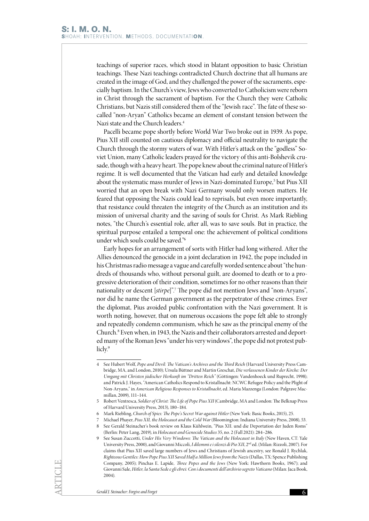teachings of superior races, which stood in blatant opposition to basic Christian teachings. These Nazi teachings contradicted Church doctrine that all humans are created in the image of God, and they challenged the power of the sacraments, especially baptism. In the Church's view, Jews who converted to Catholicism were reborn in Christ through the sacrament of baptism. For the Church they were Catholic Christians, but Nazis still considered them of the "Jewish race". The fate of these socalled "non-Aryan" Catholics became an element of constant tension between the Nazi state and the Church leaders.4

Pacelli became pope shortly before World War Two broke out in 1939. As pope, Pius XII still counted on cautious diplomacy and official neutrality to navigate the Church through the stormy waters of war. With Hitler's attack on the "godless" Soviet Union, many Catholic leaders prayed for the victory of this anti-Bolshevik crusade, though with a heavy heart. The pope knew about the criminal nature of Hitler's regime. It is well documented that the Vatican had early and detailed knowledge about the systematic mass murder of Jews in Nazi-dominated Europe,<sup>5</sup> but Pius XII worried that an open break with Nazi Germany would only worsen matters. He feared that opposing the Nazis could lead to reprisals, but even more importantly, that resistance could threaten the integrity of the Church as an institution and its mission of universal charity and the saving of souls for Christ. As Mark Riebling notes, "the Church's essential role, after all, was to save souls. But in practice, the spiritual purpose entailed a temporal one: the achievement of political conditions under which souls could be saved."6

Early hopes for an arrangement of sorts with Hitler had long withered. After the Allies denounced the genocide in a joint declaration in 1942, the pope included in his Christmas radio message a vague and carefully worded sentence about "the hundreds of thousands who, without personal guilt, are doomed to death or to a progressive deterioration of their condition, sometimes for no other reasons than their nationality or descent [*stirpe*]".7 The pope did not mention Jews and "non-Aryans", nor did he name the German government as the perpetrator of these crimes. Ever the diplomat, Pius avoided public confrontation with the Nazi government. It is worth noting, however, that on numerous occasions the pope felt able to strongly and repeatedly condemn communism, which he saw as the principal enemy of the Church.8 Even when, in 1943, the Nazis and their collaborators arrested and deported many of the Roman Jews "under his very windows", the pope did not protest publicly.<sup>9</sup>

<sup>4</sup> See Hubert Wolf, *Pope and Devil: The Vatican's Archives and the Third Reich* (Harvard University Press Cambridge, MA, and London, 2010); Ursula Büttner and Martin Greschat, *Die verlassenen Kinder der Kirche: Der Umgang mit Christen jüdischer Herkunft im "Dritten Reich"* (Göttingen: Vandenhoeck und Ruprecht, 1998); and Patrick J. Hayes, "American Catholics Respond to Kristallnacht: NCWC Refugee Policy and the Plight of Non-Aryans," in *American Religious Responses to Kristallnacht*, ed. Maria Mazzenga (London: Palgrave Macmillan, 2009), 111–144.

<sup>5</sup> Robert Ventresca, *Soldier of Christ: The Life of Pope Pius XII* (Cambridge, MA and London: The Belknap Press of Harvard University Press, 2013), 180–184.

<sup>6</sup> Mark Riebling, *Church of Spies: The Pope's Secret War against Hitler* (New York: Basic Books, 2015), 25.

<sup>7</sup> Michael Phayer, *Pius XII, the Holocaust and the Cold War* (Bloomington: Indiana University Press, 2008), 53. 8 See Gerald Steinacher's book review on Klaus Kühlwein, "Pius XII. und die Deportation der Juden Roms"

<sup>(</sup>Berlin: Peter Lang, 2019), in *Holocaust and Genocide Studies* 35, no. 2 (Fall 2021): 284–286. 9 See Susan Zuccotti, *Under His Very Windows: The Vatican and the Holocaust in Italy* (New Haven, CT: Yale

University Press, 2000), and Giovanni Miccoli, *I dilemmi e i silenzi di Pio XII*, 2nd ed. (Milan: Rizzoli, 2007). For claims that Pius XII saved large numbers of Jews and Christians of Jewish ancestry, see Ronald J. Rychlak, *Righteous Gentiles: How Pope Pius XII Saved Half a Million Jews from the Nazis* (Dallas, TX: Spence Publishing Company, 2005); Pinchas E. Lapide, *Three Popes and the Jews* (New York: Hawthorn Books, 1967); and Giovanni Sale, *Hitler, la Santa Sede e gli ebrei: Con i documenti dell'archivio segreto Vaticano* (Milan: Jaca Book, 2004).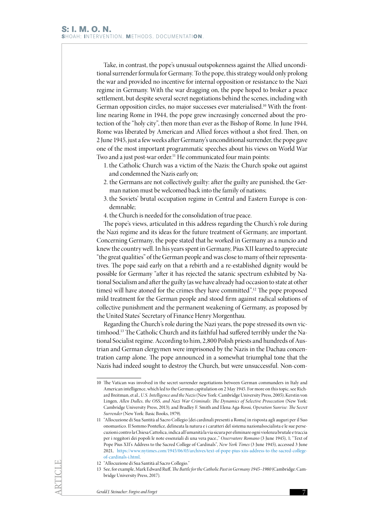Take, in contrast, the pope's unusual outspokenness against the Allied unconditional surrender formula for Germany. To the pope, this strategy would only prolong the war and provided no incentive for internal opposition or resistance to the Nazi regime in Germany. With the war dragging on, the pope hoped to broker a peace settlement, but despite several secret negotiations behind the scenes, including with German opposition circles, no major successes ever materialised.<sup>10</sup> With the frontline nearing Rome in 1944, the pope grew increasingly concerned about the protection of the "holy city", then more than ever as the Bishop of Rome. In June 1944, Rome was liberated by American and Allied forces without a shot fired. Then, on 2 June 1945, just a few weeks after Germany's unconditional surrender, the pope gave one of the most important programmatic speeches about his views on World War Two and a just post-war order.<sup>11</sup> He communicated four main points:

- 1. the Catholic Church was a victim of the Nazis: the Church spoke out against and condemned the Nazis early on;
- 2. the Germans are not collectively guilty: after the guilty are punished, the German nation must be welcomed back into the family of nations;
- 3. the Soviets' brutal occupation regime in Central and Eastern Europe is condemnable;
- 4. the Church is needed for the consolidation of true peace.

The pope's views, articulated in this address regarding the Church's role during the Nazi regime and its ideas for the future treatment of Germany, are important. Concerning Germany, the pope stated that he worked in Germany as a nuncio and knew the country well. In his years spent in Germany, Pius XII learned to appreciate "the great qualities" of the German people and was close to many of their representatives. The pope said early on that a rebirth and a re-established dignity would be possible for Germany "after it has rejected the satanic spectrum exhibited by National Socialism and after the guilty (as we have already had occasion to state at other times) will have atoned for the crimes they have committed".<sup>12</sup> The pope proposed mild treatment for the German people and stood firm against radical solutions of collective punishment and the permanent weakening of Germany, as proposed by the United States' Secretary of Finance Henry Morgenthau.

Regarding the Church's role during the Nazi years, the pope stressed its own victimhood.13 The Catholic Church and its faithful had suffered terribly under the National Socialist regime. According to him, 2,800 Polish priests and hundreds of Austrian and German clergymen were imprisoned by the Nazis in the Dachau concentration camp alone. The pope announced in a somewhat triumphal tone that the Nazis had indeed sought to destroy the Church, but were unsuccessful. Non-com-

<sup>10</sup> The Vatican was involved in the secret surrender negotiations between German commanders in Italy and American intelligence, which led to the German capitulation on 2 May 1945. For more on this topic, see Richard Breitman, et al., *U.S. Intelligence and the Nazis* (New York: Cambridge University Press, 2005); Kerstin von Lingen, *Allen Dulles, the OSS, and Nazi War Criminals: The Dynamics of Selective Prosecution* (New York: Cambridge University Press, 2013); and Bradley F. Smith and Elena Aga-Rossi, *Operation Sunrise: The Secret Surrender* (New York: Basic Books, 1979).

<sup>11</sup> "Allocuzione di Sua Santità al Sacro Collegio [dei cardinali presenti a Roma] in risposta agli auguri per il Suo onomastico. Il Sommo Pontefice, delineata la natura e i caratteri del sistema nazionalsocialista e le sue persecuzioni contro la Chiesa Cattolica, indica all'umanità la via sicura per eliminare ogni violenza brutale e traccia per i reggitori dei popoli le note essenziali di una vera pace.," *Osservatore Romano* (3 June 1945), 1; "Text of Pope Pius XII's Address to the Sacred College of Cardinals", *New York Times* (3 June 1945), accessed 3 June 2021, [https://www.nytimes.com/1945/06/03/archives/text-of-pope-pius-xiis-address-to-the-sacred-college](https://www.nytimes.com/1945/06/03/archives/text-of-pope-pius-xiis-address-to-the-sacred-college-of-cardinals-i.html)[of-cardinals-i.html](https://www.nytimes.com/1945/06/03/archives/text-of-pope-pius-xiis-address-to-the-sacred-college-of-cardinals-i.html).

<sup>12</sup> "Allocuzione di Sua Santità al Sacro Collegio."

<sup>13</sup> See, for example, Mark Edward Ruff, *The Battle for the Catholic Past in Germany 1945–1980* (Cambridge: Cambridge University Press, 2017).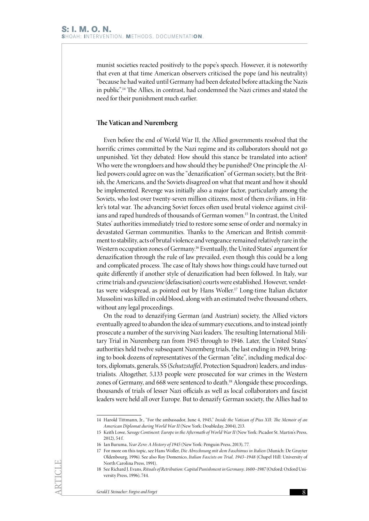munist societies reacted positively to the pope's speech. However, it is noteworthy that even at that time American observers criticised the pope (and his neutrality) "because he had waited until Germany had been defeated before attacking the Nazis in public".14 The Allies, in contrast, had condemned the Nazi crimes and stated the need for their punishment much earlier.

## **The Vatican and Nuremberg**

Even before the end of World War II, the Allied governments resolved that the horrific crimes committed by the Nazi regime and its collaborators should not go unpunished. Yet they debated: How should this stance be translated into action? Who were the wrongdoers and how should they be punished? One principle the Allied powers could agree on was the "denazification" of German society, but the British, the Americans, and the Soviets disagreed on what that meant and how it should be implemented. Revenge was initially also a major factor, particularly among the Soviets, who lost over twenty-seven million citizens, most of them civilians, in Hitler's total war. The advancing Soviet forces often used brutal violence against civilians and raped hundreds of thousands of German women.15 In contrast, the United States' authorities immediately tried to restore some sense of order and normalcy in devastated German communities. Thanks to the American and British commitment to stability, acts of brutal violence and vengeance remained relatively rare in the Western occupation zones of Germany.16 Eventually, the United States' argument for denazification through the rule of law prevailed, even though this could be a long and complicated process. The case of Italy shows how things could have turned out quite differently if another style of denazification had been followed. In Italy, war crime trials and *epurazione* (defascisation) courts were established. However, vendettas were widespread, as pointed out by Hans Woller.17 Long-time Italian dictator Mussolini was killed in cold blood, along with an estimated twelve thousand others, without any legal proceedings.

On the road to denazifying German (and Austrian) society, the Allied victors eventually agreed to abandon the idea of summary executions, and to instead jointly prosecute a number of the surviving Nazi leaders. The resulting International Military Trial in Nuremberg ran from 1945 through to 1946. Later, the United States' authorities held twelve subsequent Nuremberg trials, the last ending in 1949, bringing to book dozens of representatives of the German "elite", including medical doctors, diplomats, generals, SS (*Schutzstaffel*, Protection Squadron) leaders, and industrialists. Altogether, 5,133 people were prosecuted for war crimes in the Western zones of Germany, and 668 were sentenced to death.<sup>18</sup> Alongside these proceedings, thousands of trials of lesser Nazi officials as well as local collaborators and fascist leaders were held all over Europe. But to denazify German society, the Allies had to

<sup>14</sup> Harold Tittmann, Jr., "For the ambassador, June 4, 1945," *Inside the Vatican of Pius XII: The Memoir of an American Diplomat during World War II* (New York: Doubleday, 2004), 213.

<sup>15</sup> Keith Lowe, *Savage Continent: Europe in the Aftermath of World War II* (New York: Picador St. Martin's Press,  $2012$ ), 54 f.

<sup>16</sup> Ian Buruma, *Year Zero: A History of 1945* (New York: Penguin Press, 2013), 77.

<sup>17</sup> For more on this topic, see Hans Woller, *Die Abrechnung mit dem Faschimus in Italien* (Munich: De Gruyter Oldenbourg, 1996). See also Roy Domenico, *Italian Fascists on Trial, 1943–1948* (Chapel Hill: University of North Carolina Press, 1991).

<sup>18</sup> See Richard J. Evans, *Rituals of Retribution: Capital Punishment in Germany, 1600–1987* (Oxford: Oxford University Press, 1996), 744.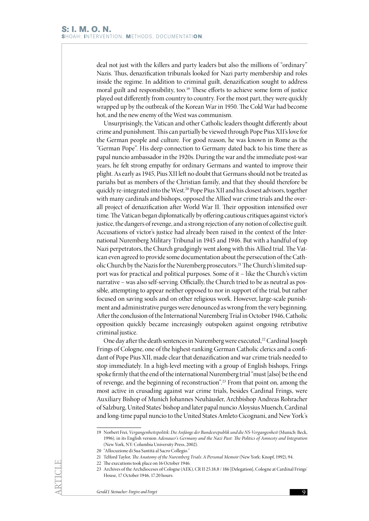deal not just with the killers and party leaders but also the millions of "ordinary" Nazis. Thus, denazification tribunals looked for Nazi party membership and roles inside the regime. In addition to criminal guilt, denazification sought to address moral guilt and responsibility, too*.* <sup>19</sup> These efforts to achieve some form of justice played out differently from country to country. For the most part, they were quickly wrapped up by the outbreak of the Korean War in 1950. The Cold War had become hot, and the new enemy of the West was communism.

Unsurprisingly, the Vatican and other Catholic leaders thought differently about crime and punishment. This can partially be viewed through Pope Pius XII's love for the German people and culture. For good reason, he was known in Rome as the "German Pope". His deep connection to Germany dated back to his time there as papal nuncio ambassador in the 1920s. During the war and the immediate post-war years, he felt strong empathy for ordinary Germans and wanted to improve their plight. As early as 1945, Pius XII left no doubt that Germans should not be treated as pariahs but as members of the Christian family, and that they should therefore be quickly re-integrated into the West.<sup>20</sup> Pope Pius XII and his closest advisors, together with many cardinals and bishops, opposed the Allied war crime trials and the overall project of denazification after World War II. Their opposition intensified over time. The Vatican began diplomatically by offering cautious critiques against victor's justice, the dangers of revenge, and a strong rejection of any notion of collective guilt. Accusations of victor's justice had already been raised in the context of the International Nuremberg Military Tribunal in 1945 and 1946. But with a handful of top Nazi perpetrators, the Church grudgingly went along with this Allied trial. The Vatican even agreed to provide some documentation about the persecution of the Catholic Church by the Nazis for the Nuremberg prosecutors.21 The Church's limited support was for practical and political purposes. Some of it – like the Church's victim narrative – was also self-serving. Officially, the Church tried to be as neutral as possible, attempting to appear neither opposed to nor in support of the trial, but rather focused on saving souls and on other religious work. However, large-scale punishment and administrative purges were denounced as wrong from the very beginning. After the conclusion of the International Nuremberg Trial in October 1946, Catholic opposition quickly became increasingly outspoken against ongoing retributive criminal justice.

One day after the death sentences in Nuremberg were executed,<sup>22</sup> Cardinal Joseph Frings of Cologne, one of the highest-ranking German Catholic clerics and a confidant of Pope Pius XII, made clear that denazification and war crime trials needed to stop immediately. In a high-level meeting with a group of English bishops, Frings spoke firmly that the end of the international Nuremberg trial "must [also] be the end of revenge, and the beginning of reconstruction".23 From that point on, among the most active in crusading against war crime trials, besides Cardinal Frings, were Auxiliary Bishop of Munich Johannes Neuhäusler, Archbishop Andreas Rohracher of Salzburg, United States' bishop and later papal nuncio Aloysius Muench, Cardinal and long-time papal nuncio to the United States Amleto Cicognani, and New York's

<sup>19</sup> Norbert Frei, *Vergangenheitspolitik: Die Anfänge der Bundesrepublik und die NS-Vergangenheit* (Munich: Beck, 1996), in its English version *Adenauer's Germany and the Nazi Past: The Politics of Amnesty and Integration* (New York, NY: Columbia University Press, 2002).

<sup>20</sup> "Allocuzione di Sua Santità al Sacro Collegio."

<sup>21</sup> Telford Taylor, *The Anatomy of the Nuremberg Trials: A Personal Memoir* (New York: Knopf, 1992), 94.

<sup>22</sup> The executions took place on 16 October 1946.

<sup>23</sup> Archives of the Archdioceses of Cologne (AEK), CR II 25.18,8 / 186 [Delegation], Cologne at Cardinal Frings' House, 17 October 1946, 17.20 hours.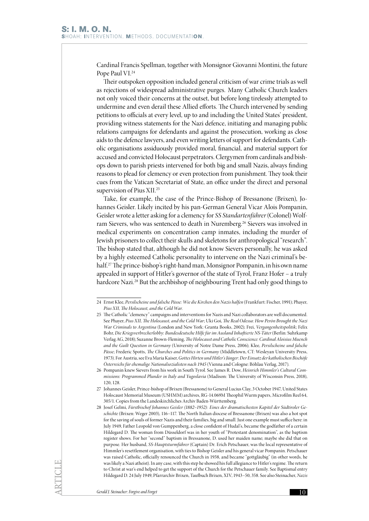Cardinal Francis Spellman, together with Monsignor Giovanni Montini, the future Pope Paul VI.<sup>24</sup>

Their outspoken opposition included general criticism of war crime trials as well as rejections of widespread administrative purges. Many Catholic Church leaders not only voiced their concerns at the outset, but before long tirelessly attempted to undermine and even derail these Allied efforts. The Church intervened by sending petitions to officials at every level, up to and including the United States' president, providing witness statements for the Nazi defence, initiating and managing public relations campaigns for defendants and against the prosecution, working as close aids to the defence lawyers, and even writing letters of support for defendants. Catholic organisations assiduously provided moral, financial, and material support for accused and convicted Holocaust perpetrators. Clergymen from cardinals and bishops down to parish priests intervened for both big and small Nazis, always finding reasons to plead for clemency or even protection from punishment. They took their cues from the Vatican Secretariat of State, an office under the direct and personal supervision of Pius XII.25

Take, for example, the case of the Prince-Bishop of Bressanone (Brixen), Johannes Geisler. Likely incited by his pan-German General Vicar Alois Pompanin, Geisler wrote a letter asking for a clemency for *SS Standartenführer* (Colonel) Wolfram Sievers, who was sentenced to death in Nuremberg.<sup>26</sup> Sievers was involved in medical experiments on concentration camp inmates, including the murder of Jewish prisoners to collect their skulls and skeletons for anthropological "research". The bishop stated that, although he did not know Sievers personally, he was asked by a highly esteemed Catholic personality to intervene on the Nazi criminal's behalf.27 The prince-bishop's right-hand man, Monsignor Pompanin, in his own name appealed in support of Hitler's governor of the state of Tyrol, Franz Hofer – a truly hardcore Nazi.<sup>28</sup> But the archbishop of neighbouring Trent had only good things to

<sup>24</sup> Ernst Klee, *Persilscheine und falsche Pässe: Wie die Kirchen den Nazis halfen* (Frankfurt: Fischer, 1991); Phayer, *Pius XII, The Holocaust, and the Cold War*.

<sup>25</sup> The Catholic "clemency" campaigns and interventions for Nazis and Nazi collaborators are well documented. See Phayer, *Pius XII, The Holocaust, and the Cold War*; Uki Goi, *The Real Odessa: How Perón Brought the Nazi War Criminals to Argentina* (London and New York: Granta Books, 2002); Frei, *Vergangenheitspolitik*; Felix Bohr, *Die Kriegsverbrecherlobby: Bundesdeutsche Hilfe für im Ausland Inhaftierte NS-Täter* (Berlin: Suhrkamp Verlag AG, 2018); Suzanne Brown-Fleming, *The Holocaust and Catholic Conscience: Cardinal Aloisius Muench and the Guilt Question in Germany* (University of Notre Dame Press, 2006); Klee, *Persilscheine und falsche Pässe*; Frederic Spotts, *The Churches and Politics in Germany* (Middletown, CT: Wesleyan University Press, 1973). For Austria, see Eva Maria Kaiser, *Gottes Hirten und Hitler's Jünger: Der Einsatz der katholischen Bischöfe Österreichs für ehemalige Nationalsozialisten nach 1945* (Vienna and Cologne: Böhlau Verlag, 2017).

<sup>26</sup> Pompanin knew Sievers from his work in South Tyrol. See James R. Dow, *Heinrich Himmler's Cultural Commissions: Programmed Plunder in Italy and Yugoslavia* (Madison: The University of Wisconsin Press, 2018), 120, 128.

<sup>27</sup> Johannes Geisler, Prince-bishop of Brixen (Bressanone) to General Lucius Clay, 3 October 1947, United States Holocaust Memorial Museum (USHMM) archives, RG-14.069M Theophil Wurm papers, Microfilm Reel 64, 305/1. Copies from the Landeskirchliches Archiv Baden-Württemberg.

<sup>28</sup> Josef Gelmi, *Fürstbischof Johannes Geisler (1882–1952): Eines der dramatischesten Kapitel der Südtiroler Geschichte* (Brixen: Weger 2003), 116−117. The North Italian diocese of Bressanone (Brixen) was also a hot spot for the saving of souls of former Nazis and their families, big and small. Just one example must suffice here: in July 1949, Father Leopold von Gumppenberg, a close confident of Hudal's, became the godfather of a certain Hildegard D. The woman from Düsseldorf was in her youth of "Protestant denomination", as the baptism register shows. For her "second" baptism in Bressanone, D. used her maiden name; maybe she did that on purpose. Her husband, *SS-Hauptsturmführer* (Captain) Dr. Erich Petschauer, was the local representative of Himmler's resettlement organisation, with ties to Bishop Geisler and his general vicar Pompanin. Petschauer was raised Catholic, officially renounced the Church in 1938, and became "gottgläubig" (in other words, he was likely a Nazi atheist). In any case, with this step he showed his full allegiance to Hitler's regime. The return to Christ at war's end helped to get the support of the Church for the Petschauer family. See Baptismal entry Hildegard D. 24 July 1949, Pfarrarchiv Brixen, Taufbuch Brixen, XIV, 1943−50, 358. See also Steinacher, *Nazis*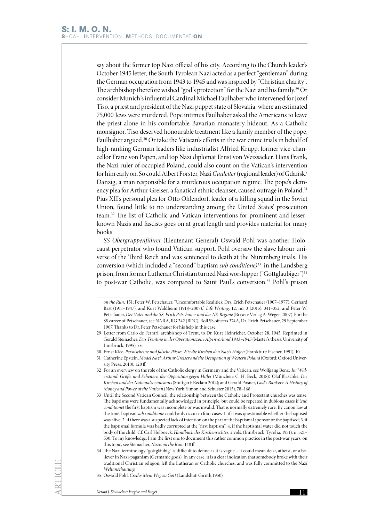say about the former top Nazi official of his city. According to the Church leader's October 1945 letter, the South Tyrolean Nazi acted as a perfect "gentleman" during the German occupation from 1943 to 1945 and was inspired by "Christian charity". The archbishop therefore wished "god's protection" for the Nazi and his family.<sup>29</sup> Or consider Munich's influential Cardinal Michael Faulhaber who intervened for Jozef Tiso, a priest and president of the Nazi puppet state of Slovakia, where an estimated 75,000 Jews were murdered. Pope intimus Faulhaber asked the Americans to leave the priest alone in his comfortable Bavarian monastery hideout. As a Catholic monsignor, Tiso deserved honourable treatment like a family member of the pope, Faulhaber argued.<sup>30</sup> Or take the Vatican's efforts in the war crime trials in behalf of high-ranking German leaders like industrialist Alfried Krupp, former vice-chancellor Franz von Papen, and top Nazi diplomat Ernst von Weizsäcker. Hans Frank, the Nazi ruler of occupied Poland, could also count on the Vatican's intervention for him early on. So could Albert Forster, Nazi *Gauleiter* (regional leader) of Gdańsk/ Danzig, a man responsible for a murderous occupation regime. The pope's clemency plea for Arthur Greiser, a fanatical ethnic cleanser, caused outrage in Poland.<sup>31</sup> Pius XII's personal plea for Otto Ohlendorf, leader of a killing squad in the Soviet Union, found little to no understanding among the United States' prosecution team.32 The list of Catholic and Vatican interventions for prominent and lesserknown Nazis and fascists goes on at great length and provides material for many books.

*SS-Obergruppenführer* (Lieutenant General) Oswald Pohl was another Holocaust perpetrator who found Vatican support. Pohl oversaw the slave labour universe of the Third Reich and was sentenced to death at the Nuremberg trials. His conversion (which included a "second" baptism *sub conditione)*33 in the Landsberg prison, from former Lutheran Christian turned Nazi worshipper ("Gottgläubiger")<sup>34</sup> to post-war Catholic, was compared to Saint Paul's conversion.<sup>35</sup> Pohl's prison

*on the Run,* 151; Peter W. Petschauer, "Uncomfortable Realities: Drs. Erich Petschauer (1907–1977), Gerhard Bast (1911–1947), and Kurt Waldheim (1918–2007)," *Life Writing*, 12, no. 3 (2015): 341–352; and Peter W. Petschauer, *Der Vater und die SS: Erich Petschauer und das NS-Regime* (Brixen: Verlag A. Weger, 2007). For the SS career of Petschauer, see NARA, RG 242 (BDC), Roll SS officers 374A, Dr. Erich Petschauer, 29 September 1907. Thanks to Dr. Peter Petschauer for his help in this case.

<sup>29</sup> Letter from Carlo de Ferrari, archbishop of Trent, to Dr. Kurt Heinricher, October 28, 1945. Reprinted in Gerald Steinacher, *Das Trentino in der Operationszone Alpenvorland 1943–1945* (Master's thesis: University of Innsbruck, 1995), xv.

<sup>30</sup> Ernst Klee, *Persilscheine und falsche Pässe: Wie die Kirchen den Nazis Halfen* (Frankfurt: Fischer, 1991), 10.

<sup>31</sup> Catherine Epstein, *Model Nazi: Arthur Greiser and the Occupation of Western Poland* (Oxford: Oxford University Press, 2010), 120 ff.

<sup>32</sup> For an overview on the role of the Catholic clergy in Germany and the Vatican, see Wolfgang Benz*, Im Widerstand: Größe und Scheitern der Opposition gegen Hitler* (München: C. H. Beck, 2018)*;* Olaf Blaschke, *Die Kirchen und der Nationalsozialismus* (Stuttgart: Reclam 2014); and Gerald Posner, *God's Bankers: A History of Money and Power at the Vatican* (New York: Simon and Schuster 2015), 78–168.

<sup>33</sup> Until the Second Vatican Council, the relationship between the Catholic and Protestant churches was tense. The baptisms were fundamentally acknowledged in principle, but could be repeated in dubious cases if (*sub conditione*) the first baptism was incomplete or was invalid. That is normally extremely rare. By canon law at the time, baptism *sub conditione* could only occur in four cases: 1. if it was questionable whether the baptised was alive; 2. if there was a suspected lack of intention on the part of the baptismal sponsor or the baptised; 3. if the baptismal formula was badly corrupted at the "first baptism"; 4. if the baptismal water did not touch the body of the child. Cf. Carl Holboeck, *Handbuch des Kirchenrechtes*, 2 vols. (Innsbruck: Tyrolia, 1951), ii, 521– 530. To my knowledge, I am the first one to document this rather common practice in the post-war years: on this topic, see Steinacher, *Nazis on the Run*, 148 ff.

<sup>34</sup> The Nazi terminology "gottgläubig" is difficult to define as it is vague – it could mean deist, atheist, or a believer in Nazi-paganism (Germanic gods). In any case, it is a clear indication that somebody broke with their traditional Christian religion, left the Lutheran or Catholic churches, and was fully committed to the Nazi *Weltanschauung*.

<sup>35</sup> Oswald Pohl, *Credo: Mein Weg zu Gott* (Landshut: Girnth,1950).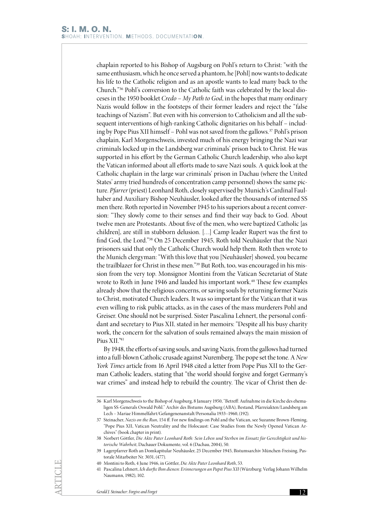chaplain reported to his Bishop of Augsburg on Pohl's return to Christ: "with the same enthusiasm, which he once served a phantom, he [Pohl] now wants to dedicate his life to the Catholic religion and as an apostle wants to lead many back to the Church."36 Pohl's conversion to the Catholic faith was celebrated by the local dioceses in the 1950 booklet *Credo – My Path to God*, in the hopes that many ordinary Nazis would follow in the footsteps of their former leaders and reject the "false teachings of Nazism". But even with his conversion to Catholicism and all the subsequent interventions of high-ranking Catholic dignitaries on his behalf – including by Pope Pius XII himself – Pohl was not saved from the gallows.37 Pohl's prison chaplain, Karl Morgenschweis, invested much of his energy bringing the Nazi war criminals locked up in the Landsberg war criminals' prison back to Christ. He was supported in his effort by the German Catholic Church leadership, who also kept the Vatican informed about all efforts made to save Nazi souls. A quick look at the Catholic chaplain in the large war criminals' prison in Dachau (where the United States' army tried hundreds of concentration camp personnel) shows the same picture. *Pfarrer* (priest) Leonhard Roth, closely supervised by Munich's Cardinal Faulhaber and Auxiliary Bishop Neuhäusler, looked after the thousands of interned SS men there. Roth reported in November 1945 to his superiors about a recent conversion: "They slowly come to their senses and find their way back to God. About twelve men are Protestants. About five of the men, who were baptized Catholic [as children], are still in stubborn delusion. […] Camp leader Rupert was the first to find God, the Lord."38 On 25 December 1945, Roth told Neuhäusler that the Nazi prisoners said that only the Catholic Church would help them. Roth then wrote to the Munich clergyman: "With this love that you [Neuhäusler] showed, you became the trailblazer for Christ in these men."39 But Roth, too, was encouraged in his mission from the very top. Monsignor Montini from the Vatican Secretariat of State wrote to Roth in June 1946 and lauded his important work.<sup>40</sup> These few examples already show that the religious concerns, or saving souls by returning former Nazis to Christ, motivated Church leaders. It was so important for the Vatican that it was even willing to risk public attacks, as in the cases of the mass murderers Pohl and Greiser. One should not be surprised. Sister Pascalina Lehnert, the personal confidant and secretary to Pius XII, stated in her memoirs: "Despite all his busy charity work, the concern for the salvation of souls remained always the main mission of Pius XII."41

By 1948, the efforts of saving souls, and saving Nazis, from the gallows had turned into a full-blown Catholic crusade against Nuremberg. The pope set the tone. A *New York Times* article from 16 April 1948 cited a letter from Pope Pius XII to the German Catholic leaders, stating that "the world should forgive and forget Germany's war crimes" and instead help to rebuild the country. The vicar of Christ then de-

<sup>36</sup> Karl Morgenschweis to the Bishop of Augsburg, 8 January 1950, "Betreff: Aufnahme in die Kirche des ehemaligen SS-Generals Oswald Pohl." Archiv des Bistums Augsburg (ABA), Bestand, Pfarreiakten/Landsberg am Lech – Mariae Himmelfahrt/Gefangenenanstalt/Personalia 1933–1960, (192).

<sup>37</sup> Steinacher, *Nazis on the Run*, 154 ff. For new findings on Pohl and the Vatican, see Suzanne Brown-Fleming, "Pope Pius XII, Vatican Neutrality and the Holocaust: Case Studies from the Newly Opened Vatican Archives" (book chapter in print).

<sup>38</sup> Norbert Göttler, *Die Akte Pater Leonhard Roth: Sein Leben und Sterben im Einsatz für Gerechtigkeit und historische Wahrheit*, Dachauer Dokumente, vol. 6 (Dachau, 2004), 50.

<sup>39</sup> Lagerpfarrer Roth an Domkapitular Neuhäusler, 25 December 1945, Bistumsarchiv München-Freising, Pastorale Mitarbeiter Nr. 3031, (477).

<sup>40</sup> Montini to Roth, 4 June 1946, in Göttler, *Die Akte Pater Leonhard Roth*, 53.

<sup>41</sup> Pascalina Lehnert, *Ich durfte Ihm dienen: Erinnerungen an Papst Pius XII* (Würzburg: Verlag Johann Wilhelm Naumann, 1982), 102.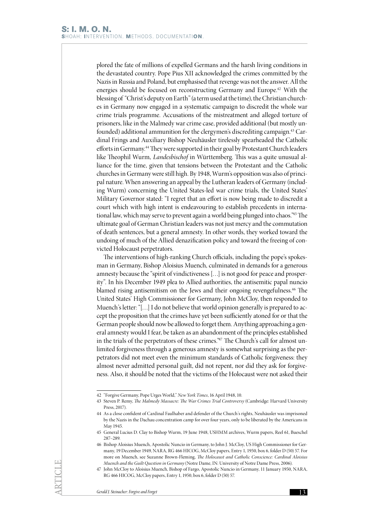plored the fate of millions of expelled Germans and the harsh living conditions in the devastated country. Pope Pius XII acknowledged the crimes committed by the Nazis in Russia and Poland, but emphasised that revenge was not the answer. All the energies should be focused on reconstructing Germany and Europe.<sup>42</sup> With the blessing of "Christ's deputy on Earth" (a term used at the time), the Christian churches in Germany now engaged in a systematic campaign to discredit the whole war crime trials programme. Accusations of the mistreatment and alleged torture of prisoners, like in the Malmedy war crime case, provided additional (but mostly unfounded) additional ammunition for the clergymen's discrediting campaign.43 Cardinal Frings and Auxiliary Bishop Neuhäusler tirelessly spearheaded the Catholic efforts in Germany.44 They were supported in their goal by Protestant Church leaders like Theophil Wurm, *Landesbischof* in Württemberg. This was a quite unusual alliance for the time, given that tensions between the Protestant and the Catholic churches in Germany were still high. By 1948, Wurm's opposition was also of principal nature. When answering an appeal by the Lutheran leaders of Germany (including Wurm) concerning the United States-led war crime trials, the United States' Military Governor stated: "I regret that an effort is now being made to discredit a court which with high intent is endeavouring to establish precedents in international law, which may serve to prevent again a world being plunged into chaos."45 The ultimate goal of German Christian leaders was not just mercy and the commutation of death sentences, but a general amnesty. In other words, they worked toward the undoing of much of the Allied denazification policy and toward the freeing of convicted Holocaust perpetrators.

The interventions of high-ranking Church officials, including the pope's spokesman in Germany, Bishop Aloisius Muench, culminated in demands for a generous amnesty because the "spirit of vindictiveness […] is not good for peace and prosperity". In his December 1949 plea to Allied authorities, the antisemitic papal nuncio blamed rising antisemitism on the Jews and their ongoing revengefulness.<sup>46</sup> The United States' High Commissioner for Germany, John McCloy, then responded to Muench's letter: "[…] I do not believe that world opinion generally is prepared to accept the proposition that the crimes have yet been sufficiently atoned for or that the German people should now be allowed to forget them. Anything approaching a general amnesty would I fear, be taken as an abandonment of the principles established in the trials of the perpetrators of these crimes."47 The Church's call for almost unlimited forgiveness through a generous amnesty is somewhat surprising as the perpetrators did not meet even the minimum standards of Catholic forgiveness: they almost never admitted personal guilt, did not repent, nor did they ask for forgiveness. Also, it should be noted that the victims of the Holocaust were not asked their

<sup>42</sup> "Forgive Germany, Pope Urges World," *New York Times*, 16 April 1948, 10.

<sup>43</sup> Steven P. Remy, *The Malmedy Massacre: The War Crimes Trial Controversy* (Cambridge: Harvard University Press, 2017).

<sup>44</sup> As a close confident of Cardinal Faulhaber and defender of the Church's rights, Neuhäusler was imprisoned by the Nazis in the Dachau concentration camp for over four years, only to be liberated by the Americans in May 1945.

<sup>45</sup> General Lucius D. Clay to Bishop Wurm, 19 June 1948, USHMM archives, Wurm papers, Reel 61, Bueschel 287–289.

<sup>46</sup> Bishop Aloisius Muench, Apostolic Nuncio in Germany, to John J. McCloy, US High Commissioner for Germany, 19 December 1949, NARA, RG 466 HICOG, McCloy papers, Entry 1, 1950, box 6, folder D (50) 57. For more on Muench, see Suzanne Brown-Fleming, *The Holocaust and Catholic Conscience: Cardinal Aloisius Muench and the Guilt Question in Germany* (Notre Dame, IN: University of Notre Dame Press, 2006).

<sup>47</sup> John McCloy to Aloisius Muench, Bishop of Fargo, Apostolic Nuncio in Germany, 11 January 1950, NARA, RG 466 HICOG, McCloy papers, Entry 1, 1950, box 6, folder D (50) 57.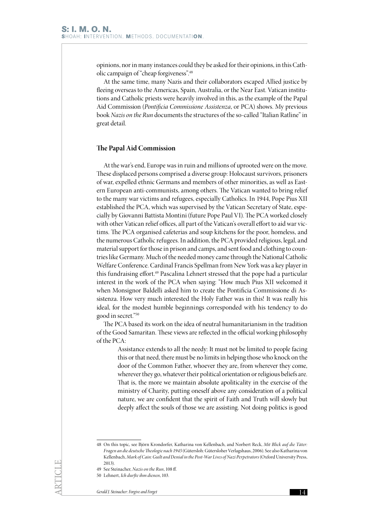opinions, nor in many instances could they be asked for their opinions, in this Catholic campaign of "cheap forgiveness".48

At the same time, many Nazis and their collaborators escaped Allied justice by fleeing overseas to the Americas, Spain, Australia, or the Near East. Vatican institutions and Catholic priests were heavily involved in this, as the example of the Papal Aid Commission (*Pontificia Commissione Assistenza*, or PCA) shows. My previous book *Nazis on the Run* documents the structures of the so-called "Italian Ratline" in great detail.

#### **The Papal Aid Commission**

At the war's end, Europe was in ruin and millions of uprooted were on the move. These displaced persons comprised a diverse group: Holocaust survivors, prisoners of war, expelled ethnic Germans and members of other minorities, as well as Eastern European anti-communists, among others. The Vatican wanted to bring relief to the many war victims and refugees, especially Catholics. In 1944, Pope Pius XII established the PCA, which was supervised by the Vatican Secretary of State, especially by Giovanni Battista Montini (future Pope Paul VI). The PCA worked closely with other Vatican relief offices, all part of the Vatican's overall effort to aid war victims. The PCA organised cafeterias and soup kitchens for the poor, homeless, and the numerous Catholic refugees. In addition, the PCA provided religious, legal, and material support for those in prison and camps, and sent food and clothing to countries like Germany. Much of the needed money came through the National Catholic Welfare Conference. Cardinal Francis Spellman from New York was a key player in this fundraising effort.49 Pascalina Lehnert stressed that the pope had a particular interest in the work of the PCA when saying: "How much Pius XII welcomed it when Monsignor Baldelli asked him to create the Pontificia Commissione di Assistenza. How very much interested the Holy Father was in this! It was really his ideal, for the modest humble beginnings corresponded with his tendency to do good in secret."50

The PCA based its work on the idea of neutral humanitarianism in the tradition of the Good Samaritan. These views are reflected in the official working philosophy of the PCA:

> Assistance extends to all the needy: It must not be limited to people facing this or that need, there must be no limits in helping those who knock on the door of the Common Father, whoever they are, from wherever they come, wherever they go, whatever their political orientation or religious beliefs are. That is, the more we maintain absolute apoliticality in the exercise of the ministry of Charity, putting oneself above any consideration of a political nature, we are confident that the spirit of Faith and Truth will slowly but deeply affect the souls of those we are assisting. Not doing politics is good

<sup>48</sup> On this topic, see Björn Krondorfer, Katharina von Kellenbach, and Norbert Reck, *Mit Blick auf die Täter: Fragen an die deutsche Theologie nach 1945* (Gütersloh: Gütersloher Verlagshaus, 2006). See also Katharina von Kellenbach, *Mark of Cain: Guilt and Denial in the Post-War Lives of Nazi Perpetrators* (Oxford University Press, 2013).

<sup>49</sup> See Steinacher, *Nazis on the Run*, 108 ff.

<sup>50</sup> Lehnert, *Ich durfte ihm dienen*, 103.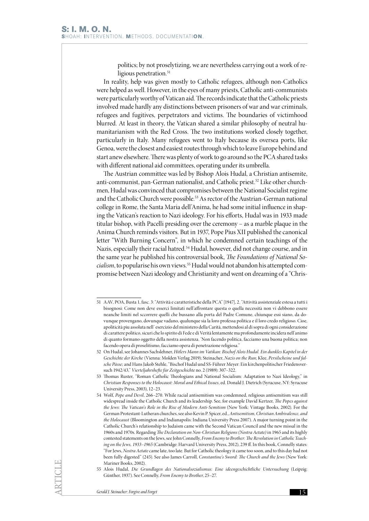politics; by not proselytizing, we are nevertheless carrying out a work of religious penetration.<sup>51</sup>

In reality, help was given mostly to Catholic refugees, although non-Catholics were helped as well. However, in the eyes of many priests, Catholic anti-communists were particularly worthy of Vatican aid. The records indicate that the Catholic priests involved made hardly any distinctions between prisoners of war and war criminals, refugees and fugitives, perpetrators and victims. The boundaries of victimhood blurred. At least in theory, the Vatican shared a similar philosophy of neutral humanitarianism with the Red Cross. The two institutions worked closely together, particularly in Italy. Many refugees went to Italy because its oversea ports, like Genoa, were the closest and easiest routes through which to leave Europe behind and start anew elsewhere. There was plenty of work to go around so the PCA shared tasks with different national aid committees, operating under its umbrella.

The Austrian committee was led by Bishop Alois Hudal, a Christian antisemite, anti-communist, pan-German nationalist, and Catholic priest.52 Like other churchmen, Hudal was convinced that compromises between the National Socialist regime and the Catholic Church were possible. 53 As rector of the Austrian-German national college in Rome, the Santa Maria dell'Anima, he had some initial influence in shaping the Vatican's reaction to Nazi ideology. For his efforts, Hudal was in 1933 made titular bishop, with Pacelli presiding over the ceremony – as a marble plaque in the Anima Church reminds visitors. But in 1937, Pope Pius XII published the canonical letter "With Burning Concern", in which he condemned certain teachings of the Nazis, especially their racial hatred.<sup>54</sup> Hudal, however, did not change course, and in the same year he published his controversial book, *The Foundations of National Socialism*, to popularise his own views.55 Hudal would not abandon his attempted compromise between Nazi ideology and Christianity and went on dreaming of a "Chris-

<sup>51</sup> AAV, POA, Busta 1, fasc. 3: "Attività e caratteristiche della PCA" [1947], 2. "Attività assistenziale estesa a tutti i bisognosi: Come non deve esserci limitati nell'affrontare questa o quella necessità non vi debbono essere neanche limiti nel sccorrere quelli che bussano alla porta del Padre Comune, chiunque essi siano, da dovunque provengano, dovunque vadano, qualunque sia la loro professa politica e il loro credo religioso. Cioe, apoliticità piu assoluta nell' esercizio del ministero della Carità, mettendosi al di sopra di ogni considerazione di carattere politico, sicuri che lo spirito di Fede e di Verità lentamente ma profondamente incidera nell'animo di quanto formano oggetto della nostra assistenza. 'Non facendo politica, facciamo una buona politica; non facendo opera di proselitismo, facciamo opera di penetrazione religiosa."

<sup>52</sup> On Hudal, see Johannes Sachslehner, *Hitlers Mann im Vatikan: Bischof Alois Hudal. Ein dunkles Kapitel in der Geschichte der Kirche* (Vienna: Molden Verlag 2019); Steinacher, *Nazis on the Run*; Klee, *Persilscheine und falsche Pässe;* and Hans Jakob Stehle, "Bischof Hudal und SS-Führer Meyer: Ein kirchenpolitischer Friedensversuch 1942/43," *Vierteljahrshefte für Zeitgeschichte* no. 2 (1989): 307–322.

<sup>53</sup> Thomas Ruster, "Roman Catholic Theologians and National Socialism: Adaptation to Nazi Ideology," in *Christian Responses to the Holocaust: Moral and Ethical Issues*, ed. Donald J. Dietrich (Syracuse, NY: Syracuse University Press, 2003), 12–23.

<sup>54</sup> Wolf, *Pope and Devil*, 266–270. While racial antisemitism was condemned, religious antisemitism was still widespread inside the Catholic Church and its leadership. See, for example David Kertzer, *The Popes against the Jews: The Vatican's Role in the Rise of Modern Anti-Semitism* (New York: Vintage Books, 2002). For the German Protestant-Lutheran churches, see also Kevin P. Spicer, ed., *Antisemitism, Christian Ambivalence, and the Holocaust* (Bloomington and Indianapolis: Indiana University Press 2007). A major turning point in the Catholic Church's relationship to Judaism came with the Second Vatican Council and the new missal in the 1960s and 1970s. Regarding *The Declaration on Non-Christian Religions (Nostra Aetate)* in 1965 and its highly contested statements on the Jews, see John Connelly, *From Enemy to Brother: The Revolution in Catholic Teaching on the Jews, 1933–1965* (Cambridge: Harvard University Press, 2012), 239 ff. In this book, Connelly states: "For Jews, *Nostra Aetate* came late, too late. But for Catholic theology it came too soon, and to this day had not been fully digested" (245). See also James Carroll, *Constantine's Sword: The Church and the Jews* (New York: Mariner Books, 2002).

<sup>55</sup> Alois Hudal, *Die Grundlagen des Nationalsozialismus: Eine ideengeschichtliche Untersuchung* (Leipzig: Günther, 1937). See Connelly, *From Enemy to Brother*, 25–27.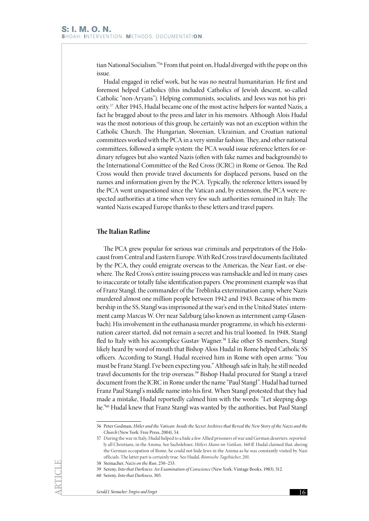tian National Socialism."56 From that point on, Hudal diverged with the pope on this issue.

Hudal engaged in relief work, but he was no neutral humanitarian. He first and foremost helped Catholics (this included Catholics of Jewish descent, so-called Catholic "non-Aryans"). Helping communists, socialists, and Jews was not his priority.57 After 1945, Hudal became one of the most active helpers for wanted Nazis, a fact he bragged about to the press and later in his memoirs. Although Alois Hudal was the most notorious of this group, he certainly was not an exception within the Catholic Church. The Hungarian, Slovenian, Ukrainian, and Croatian national committees worked with the PCA in a very similar fashion. They, and other national committees, followed a simple system: the PCA would issue reference letters for ordinary refugees but also wanted Nazis (often with fake names and backgrounds) to the International Committee of the Red Cross (ICRC) in Rome or Genoa. The Red Cross would then provide travel documents for displaced persons, based on the names and information given by the PCA. Typically, the reference letters issued by the PCA went unquestioned since the Vatican and, by extension, the PCA were respected authorities at a time when very few such authorities remained in Italy. The wanted Nazis escaped Europe thanks to these letters and travel papers.

## **The Italian Ratline**

The PCA grew popular for serious war criminals and perpetrators of the Holocaust from Central and Eastern Europe. With Red Cross travel documents facilitated by the PCA, they could emigrate overseas to the Americas, the Near East, or elsewhere. The Red Cross's entire issuing process was ramshackle and led in many cases to inaccurate or totally false identification papers. One prominent example was that of Franz Stangl, the commander of the Treblinka extermination camp, where Nazis murdered almost one million people between 1942 and 1943. Because of his membership in the SS, Stangl was imprisoned at the war's end in the United States' internment camp Marcus W. Orr near Salzburg (also known as internment camp Glasenbach). His involvement in the euthanasia murder programme, in which his extermination career started, did not remain a secret and his trial loomed. In 1948, Stangl fled to Italy with his accomplice Gustav Wagner.<sup>58</sup> Like other SS members, Stangl likely heard by word of mouth that Bishop Alois Hudal in Rome helped Catholic SS officers. According to Stangl, Hudal received him in Rome with open arms: "You must be Franz Stangl. I've been expecting you." Although safe in Italy, he still needed travel documents for the trip overseas.<sup>59</sup> Bishop Hudal procured for Stangl a travel document from the ICRC in Rome under the name "Paul Stangl". Hudal had turned Franz Paul Stangl's middle name into his first. When Stangl protested that they had made a mistake, Hudal reportedly calmed him with the words: "Let sleeping dogs lie."60 Hudal knew that Franz Stangl was wanted by the authorities, but Paul Stangl

<sup>56</sup> Peter Godman, *Hitler and the Vatican: Inside the Secret Archives that Reveal the New Story of the Nazis and the Church* (New York: Free Press, 2004), 54.

<sup>57</sup> During the war in Italy, Hudal helped to a hide a few Allied prisoners of war and German deserters, reportedly all Christians, in the Anima. See Sachslehner, *Hitlers Mann im Vatikan,* 160 ff. Hudal claimed that, during the German occupation of Rome, he could not hide Jews in the Anima as he was constantly visited by Nazi officials. The latter part is certainly true. See Hudal, *Römische Tagebücher*, 201.

<sup>58</sup> Steinacher, *Nazis on the Run*, 250–253.

<sup>59</sup> Sereny, *Into that Darkness: An Examination of Conscience* (New York: Vintage Books, 1983), 312.

<sup>60</sup> Sereny, *Into that Darkness*, 305.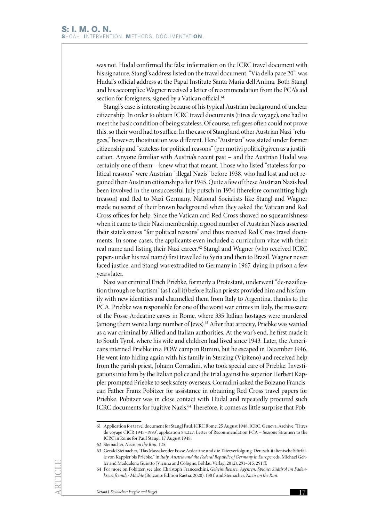was not. Hudal confirmed the false information on the ICRC travel document with his signature. Stangl's address listed on the travel document, "Via della pace 20", was Hudal's official address at the Papal Institute Santa Maria dell'Anima. Both Stangl and his accomplice Wagner received a letter of recommendation from the PCA's aid section for foreigners, signed by a Vatican official.<sup>61</sup>

Stangl's case is interesting because of his typical Austrian background of unclear citizenship. In order to obtain ICRC travel documents (titres de voyage), one had to meet the basic condition of being stateless. Of course, refugees often could not prove this, so their word had to suffice. In the case of Stangl and other Austrian Nazi "refugees," however, the situation was different. Here "Austrian" was stated under former citizenship and "stateless for political reasons" (per motivi politici) given as a justification. Anyone familiar with Austria's recent past – and the Austrian Hudal was certainly one of them – knew what that meant. Those who listed "stateless for political reasons" were Austrian "illegal Nazis" before 1938, who had lost and not regained their Austrian citizenship after 1945. Quite a few of these Austrian Nazis had been involved in the unsuccessful July putsch in 1934 (therefore committing high treason) and fled to Nazi Germany. National Socialists like Stangl and Wagner made no secret of their brown background when they asked the Vatican and Red Cross offices for help. Since the Vatican and Red Cross showed no squeamishness when it came to their Nazi membership, a good number of Austrian Nazis asserted their statelessness "for political reasons" and thus received Red Cross travel documents. In some cases, the applicants even included a curriculum vitae with their real name and listing their Nazi career.62 Stangl and Wagner (who received ICRC papers under his real name) first travelled to Syria and then to Brazil. Wagner never faced justice, and Stangl was extradited to Germany in 1967, dying in prison a few years later.

Nazi war criminal Erich Priebke, formerly a Protestant, underwent "de-nazification through re-baptism" (as I call it) before Italian priests provided him and his family with new identities and channelled them from Italy to Argentina, thanks to the PCA. Priebke was responsible for one of the worst war crimes in Italy, the massacre of the Fosse Ardeatine caves in Rome, where 335 Italian hostages were murdered (among them were a large number of Jews).63 After that atrocity, Priebke was wanted as a war criminal by Allied and Italian authorities. At the war's end, he first made it to South Tyrol, where his wife and children had lived since 1943. Later, the Americans interned Priebke in a POW camp in Rimini, but he escaped in December 1946. He went into hiding again with his family in Sterzing (Vipiteno) and received help from the parish priest, Johann Corradini, who took special care of Priebke. Investigations into him by the Italian police and the trial against his superior Herbert Kappler prompted Priebke to seek safety overseas. Corradini asked the Bolzano Franciscan Father Franz Pobitzer for assistance in obtaining Red Cross travel papers for Priebke. Pobitzer was in close contact with Hudal and repeatedly procured such ICRC documents for fugitive Nazis.<sup>64</sup> Therefore, it comes as little surprise that Pob-

<sup>61</sup> Application for travel document for Stangl Paul, ICRC Rome, 25 August 1948, ICRC, Geneva, Archive, 'Titres de voyage CICR 1945–1993', application 84,227; Letter of Recommendation PCA – Sezione Stranieri to the ICRC in Rome for Paul Stangl, 17 August 1948.

<sup>62</sup> Steinacher, *Nazis on the Run,* 125.

<sup>63</sup> Gerald Steinacher, "Das Massaker der Fosse Ardeatine und die Täterverfolgung: Deutsch-italienische Störfälle von Kappler bis Priebke," in *Italy, Austria and the Federal Republic of Germany in Europe*, eds. Michael Gehler and Maddalena Guiotto (Vienna and Cologne: Böhlau Verlag, 2012), 291–315, 291 ff.

<sup>64</sup> For more on Pobitzer, see also Christoph Franceschini, *Geheimdienste, Agenten, Spione: Südtirol im Fadenkreuz fremder Mächte* (Bolzano: Edition Raetia, 2020), 138 f, and Steinacher, *Nazis on the Run*.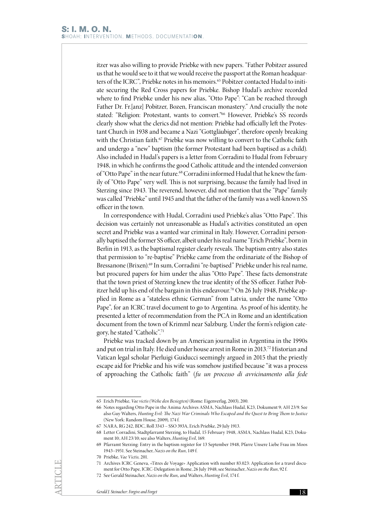itzer was also willing to provide Priebke with new papers. "Father Pobitzer assured us that he would see to it that we would receive the passport at the Roman headquarters of the ICRC", Priebke notes in his memoirs.<sup>65</sup> Pobitzer contacted Hudal to initiate securing the Red Cross papers for Priebke. Bishop Hudal's archive recorded where to find Priebke under his new alias, "Otto Pape": "Can be reached through Father Dr. Fr.[anz] Pobitzer, Bozen, Franciscan monastery." And crucially the note stated: "Religion: Protestant, wants to convert."66 However, Priebke's SS records clearly show what the clerics did not mention: Priebke had officially left the Protestant Church in 1938 and became a Nazi "Gottgläubiger", therefore openly breaking with the Christian faith.<sup>67</sup> Priebke was now willing to convert to the Catholic faith and undergo a "new" baptism (the former Protestant had been baptised as a child). Also included in Hudal's papers is a letter from Corradini to Hudal from February 1948, in which he confirms the good Catholic attitude and the intended conversion of "Otto Pape" in the near future.<sup>68</sup> Corradini informed Hudal that he knew the family of "Otto Pape" very well. This is not surprising, because the family had lived in Sterzing since 1943. The reverend, however, did not mention that the "Pape" family was called "Priebke" until 1945 and that the father of the family was a well-known SS officer in the town.

In correspondence with Hudal, Corradini used Priebke's alias "Otto Pape". This decision was certainly not unreasonable as Hudal's activities constituted an open secret and Priebke was a wanted war criminal in Italy. However, Corradini personally baptised the former SS officer, albeit under his real name "Erich Priebke", born in Berlin in 1913, as the baptismal register clearly reveals. The baptism entry also states that permission to "re-baptise" Priebke came from the ordinariate of the Bishop of Bressanone (Brixen).<sup>69</sup> In sum, Corradini "re-baptised" Priebke under his real name, but procured papers for him under the alias "Otto Pape". These facts demonstrate that the town priest of Sterzing knew the true identity of the SS officer. Father Pobitzer held up his end of the bargain in this endeavour.<sup>70</sup> On 26 July 1948, Priebke applied in Rome as a "stateless ethnic German" from Latvia, under the name "Otto Pape", for an ICRC travel document to go to Argentina. As proof of his identity, he presented a letter of recommendation from the PCA in Rome and an identification document from the town of Krimml near Salzburg. Under the form's religion category, he stated "Catholic".71

Priebke was tracked down by an American journalist in Argentina in the 1990s and put on trial in Italy. He died under house arrest in Rome in 2013. <sup>72</sup> Historian and Vatican legal scholar Pierluigi Guiducci seemingly argued in 2015 that the priestly escape aid for Priebke and his wife was somehow justified because "it was a process of approaching the Catholic faith" (*fu un processo di avvicinamento alla fede* 

<sup>65</sup> Erich Priebke, *Vae victis (Wehe den Besiegten)* (Rome: Eigenverlag, 2003), 200.

<sup>66</sup> Notes regarding Otto Pape in the Anima Archives ASMA, Nachlass Hudal, K23, Dokument 9; AH 23/9. See also Guy Walters, *Hunting Evil: The Nazi War Criminals Who Escaped and the Quest to Bring Them to Justice* (New York: Random House, 2009), 174 f.

<sup>67</sup> NARA, RG 242, BDC, Roll 3343 – SSO 393A, Erich Priebke, 29 July 1913.

<sup>68</sup> Letter Corradini, Stadtpfarramt Sterzing, to Hudal, 15 February 1948, ASMA, Nachlass Hudal, K23, Dokument 10; AH 23/10; see also Walters, *Hunting Evil*, 169.

<sup>69</sup> Pfarramt Sterzing: Entry in the baptism register for 13 September 1948, Pfarre Unsere Liebe Frau im Moos 1943–1951. See Steinacher, *Nazis on the Run*, 149 f.

<sup>70</sup> Priebke, *Vae Victis,* 201.

<sup>71</sup> Archives ICRC Geneva, «Titres de Voyage» Application with number 83.023: Application for a travel document for Otto Pape, ICRC-Delegation in Rome, 26 July 1948; see Steinacher, *Nazis on the Run*, 92 f.

<sup>72</sup> See Gerald Steinacher, *Nazis on the Run,* and Walters, *Hunting Evil*, 174 f.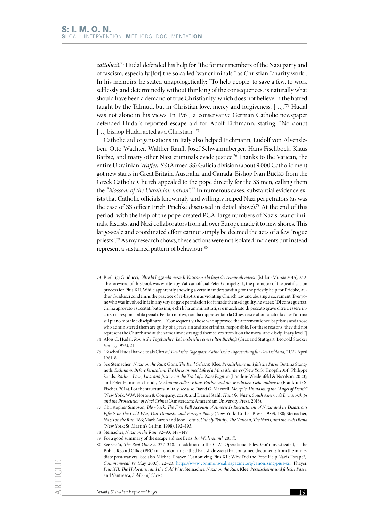*cattolica*).73 Hudal defended his help for "the former members of the Nazi party and of fascism, especially [for] the so called 'war criminals'" as Christian "charity work". In his memoirs, he stated unapologetically: "To help people, to save a few, to work selflessly and determinedly without thinking of the consequences, is naturally what should have been a demand of true Christianity, which does not believe in the hatred taught by the Talmud, but in Christian love, mercy and forgiveness. […]."74 Hudal was not alone in his views. In 1961*,* a conservative German Catholic newspaper defended Hudal's reported escape aid for Adolf Eichmann, stating: "No doubt [...] bishop Hudal acted as a Christian."75

Catholic aid organisations in Italy also helped Eichmann, Ludolf von Alvensleben, Otto Wächter, Walther Rauff, Josef Schwammberger, Hans Fischböck, Klaus Barbie, and many other Nazi criminals evade justice.<sup>76</sup> Thanks to the Vatican, the entire Ukrainian *Waffen-SS* (Armed SS) Galicia division (about 9,000 Catholic men) got new starts in Great Britain, Australia, and Canada. Bishop Ivan Bucko from the Greek Catholic Church appealed to the pope directly for the SS men, calling them the *"blossom of the Ukrainian nation*"*.* <sup>77</sup> In numerous cases, substantial evidence exists that Catholic officials knowingly and willingly helped Nazi perpetrators (as was the case of SS officer Erich Priebke discussed in detail above).78 At the end of this period, with the help of the pope-created PCA, large numbers of Nazis, war criminals, fascists, and Nazi collaborators from all over Europe made it to new shores. This large-scale and coordinated effort cannot simply be deemed the acts of a few "rogue priests".79 As my research shows, these actions were not isolated incidents but instead represent a sustained pattern of behaviour.<sup>80</sup>

<sup>73</sup> Pierluigi Guiducci, *Oltre la leggenda nera: Il Vaticano e la fuga dei criminali nazisti* (Milan: Mursia 2015), 242. The foreword of this book was written by Vatican official Peter Gumpel S. J., the promotor of the beatification process for Pius XII. While apparently showing a certain understanding for the priestly help for Priebke, author Guiducci condemns the practice of re-baptism as violating Church law and abusing a sacrament. Everyone who was involved in it in any way or gave permission for it made themself guilty, he states: "Di conseguenza, chi ha aprovato i succitati battesimi, e chi li ha amministrati, si è macchiato di peccato grave oltre a essere incorso in responsibilità penali. Per tali motivi, non ha rappresentato la Chiesa e si è allontanato da quest'ultima sul piano morale e disciplinare." ["Consequently, those who approved the aforementioned baptisms and those who administered them are guilty of a grave sin and are criminal responsible. For these reasons, they did not represent the Church and at the same time estranged themselves from it on the moral and disciplinary level."]

<sup>74</sup> Alois C. Hudal*, Römische Tagebücher: Lebensbeichte eines alten Bischofs* (Graz and Stuttgart: Leopold Stocker Verlag, 1976), 21.

<sup>75</sup> "Bischof Hudal handelte als Christ," *Deutsche Tagespost: Katholische Tageszeitung für Deutschland,* 21/22 April 1961, 8*.*

<sup>76</sup> See Steinacher*, Nazis on the Run;* Goñi, *The Real Odessa;* Klee, *Persilscheine und falsche Pässe*; Bettina Stangneth, *Eichmann Before Jerusalem: The Unexamined Life of a Mass Murderer* (New York: Knopf, 2014); Philippe Sands, Ratline: Love, Lies, and Justice on the Trail of a Nazi Fugitive (London: Weidenfeld & Nicolson, 2020); and Peter Hammerschmidt, *Deckname Adler: Klaus Barbie und die westlichen Geheimdienste* (Frankfurt: S. Fischer, 2014). For the structures in Italy, see also David G. Marwell, *Mengele: Unmasking the "Angel of Death"* (New York: W.W. Norton & Company, 2020), and Daniel Stahl*, Hunt for Nazis: South America's Dictatorships and the Prosecution of Nazi Crimes* (Amsterdam: Amsterdam University Press, 2018).

<sup>77</sup> Christopher Simpson*, Blowback: The First Full Account of America's Recruitment of Nazis and its Disastrous Effects on the Cold War, Our Domestic and Foreign Policy* (New York: Collier Press, 1989), 180; Steinacher, *Nazis on the Run*, 186; Mark Aaron and John Loftus, *Unholy Trinity: The Vatican, The Nazis, and the Swiss Bank* (New York: St. Martin's Griffin, 1998), 192–193.

<sup>78</sup> Steinacher, *Nazis on the Run,* 92–93, 148–149.

<sup>79</sup> For a good summary of the escape aid, see Benz*, Im Widerstand,* 205 ff.

<sup>80</sup> See Goñi, *The Real Odessa,* 327–348*.* In addition to the CIA's Operational Files, Goñi investigated, at the Public Record Office (PRO) in London, unearthed British dossiers that contained documents from the immediate post-war era. See also Michael Phayer, "Canonizing Pius XII: Why Did the Pope Help Nazis Escape?," *Commonweal* (9 May 2003), 22–23, <https://www.commonwealmagazine.org/canonizing-pius-xii>; Phayer, *Pius XII, The Holocaust, and the Cold War*; Steinacher, *Nazis on the Run*; Klee, *Persilscheine und falsche Pässe*; and Ventresca, *Soldier of Christ.*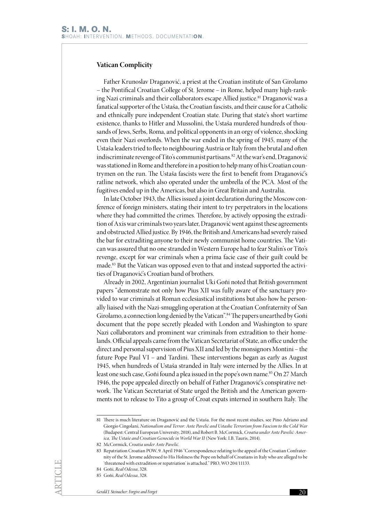## **Vatican Complicity**

Father Krunoslav Draganović, a priest at the Croatian institute of San Girolamo – the Pontifical Croatian College of St*.* Jerome – in Rome, helped many high-ranking Nazi criminals and their collaborators escape Allied justice.<sup>81</sup> Draganović was a fanatical supporter of the Ustaša, the Croatian fascists, and their cause for a Catholic and ethnically pure independent Croatian state. During that state's short wartime existence, thanks to Hitler and Mussolini, the Ustaša murdered hundreds of thousands of Jews, Serbs, Roma, and political opponents in an orgy of violence, shocking even their Nazi overlords. When the war ended in the spring of 1945, many of the Ustaša leaders tried to flee to neighbouring Austria or Italy from the brutal and often indiscriminate revenge of Tito's communist partisans.<sup>82</sup> At the war's end, Draganović was stationed in Rome and therefore in a position to help many of his Croatian countrymen on the run. The Ustaša fascists were the first to benefit from Draganović's ratline network, which also operated under the umbrella of the PCA. Most of the fugitives ended up in the Americas, but also in Great Britain and Australia.

In late October 1943, the Allies issued a joint declaration during the Moscow conference of foreign ministers, stating their intent to try perpetrators in the locations where they had committed the crimes. Therefore, by actively opposing the extradition of Axis war criminals two years later, Draganović went against these agreements and obstructed Allied justice. By 1946, the British and Americans had severely raised the bar for extraditing anyone to their newly communist home countries. The Vatican was assured that no one stranded in Western Europe had to fear Stalin's or Tito's revenge, except for war criminals when a prima facie case of their guilt could be made.83 But the Vatican was opposed even to that and instead supported the activities of Draganović's Croatian band of brothers.

Already in 2002, Argentinian journalist Uki Goñi noted that British government papers "demonstrate not only how Pius XII was fully aware of the sanctuary provided to war criminals at Roman ecclesiastical institutions but also how he personally liaised with the Nazi-smuggling operation at the Croatian Confraternity of San Girolamo, a connection long denied by the Vatican".84 The papers unearthed by Goñi document that the pope secretly pleaded with London and Washington to spare Nazi collaborators and prominent war criminals from extradition to their homelands. Official appeals came from the Vatican Secretariat of State, an office under the direct and personal supervision of Pius XII and led by the monsignors Montini – the future Pope Paul VI – and Tardini. These interventions began as early as August 1945, when hundreds of Ustaša stranded in Italy were interned by the Allies. In at least one such case, Goñi found a plea issued in the pope's own name.<sup>85</sup> On 27 March 1946, the pope appealed directly on behalf of Father Draganović's conspirative network. The Vatican Secretariat of State urged the British and the American governments not to release to Tito a group of Croat expats interned in southern Italy. The

<sup>81</sup> There is much literature on Draganović and the Ustaša. For the most recent studies, see Pino Adriano and Giorgio Cingolani, *Nationalism and Terror: Ante Pavelić and Ustashe Terrorism from Fascism to the Cold War*  (Budapest: Central European University, 2018), and Robert B. McCormick, *Croatia under Ante Pavelić: America, The Ustaše and Croatian Genocide in World War II* (New York: I.B. Tauris, 2014).

<sup>82</sup> McCormick, *Croatia under Ante Pavelić.*

<sup>83</sup> Repatriation Croatian POW, 9. April 1946 "Correspondence relating to the appeal of the Croatian Confraternity of the St. Jerome addressed to His Holiness the Pope on behalf of Croatians in Italy who are alleged to be 'threatened with extradition or repatriation' is attached." PRO, WO 204/11133.

<sup>84</sup> Goñi, *Real Odessa*, 328.

<sup>85</sup> Goñi, *Real Odessa*, 328.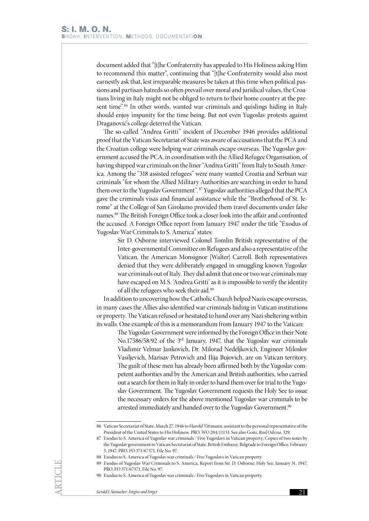document added that "[t]he Confraternity has appealed to His Holiness asking Him to recommend this matter", continuing that "[t]he Confraternity would also most earnestly ask that, lest irreparable measures be taken at this time when political passions and partisan hatreds so often prevail over moral and juridical values, the Croatians living in Italy might not be obliged to return to their home country at the present time".<sup>86</sup> In other words, wanted war criminals and quislings hiding in Italy should enjoy impunity for the time being. But not even Yugoslav protests against Draganović's college deterred the Vatican.

The so-called "Andrea Gritti" incident of December 1946 provides additional proof that the Vatican Secretariat of State was aware of accusations that the PCA and the Croatian college were helping war criminals escape overseas. The Yugoslav government accused the PCA, in coordination with the Allied Refugee Organisation, of having shipped war criminals on the liner "Andrea Gritti" from Italy to South America. Among the "318 assisted refugees" were many wanted Croatia and Serbian war criminals "for whom the Allied Military Authorities are searching in order to hand them over to the Yugoslav Government". 87 Yugoslav authorities alleged that the PCA gave the criminals visas and financial assistance while the "Brotherhood of St. Jerome" at the College of San Girolamo provided them travel documents under false names.88 The British Foreign Office took a closer look into the affair and confronted the accused. A Foreign Office report from January 1947 under the title "Exodus of Yugoslav War Criminals to S. America" states:

> Sir D. Osborne interviewed Colonel Tomlin British representative of the Inter-governmental Committee on Refugees and also a representative of the Vatican, the American Monsignor [Walter] Carroll. Both representatives denied that they were deliberately engaged in smuggling known Yugoslav war criminals out of Italy. They did admit that one or two war criminals may have escaped on M.S. 'Andrea Gritti' as it is impossible to verify the identity of all the refugees who seek their aid.<sup>89</sup>

In addition to uncovering how the Catholic Church helped Nazis escape overseas, in many cases the Allies also identified war criminals hiding in Vatican institutions or property. The Vatican refused or hesitated to hand over any Nazi sheltering within its walls. One example of this is a memorandum from January 1947 to the Vatican:

The Yugoslav Government were informed by the Foreign Office in their Note No.17586/58/92 of the 3rd January, 1947, that the Yugoslav war criminals Vladimir Velmar Jankovich, Dr. Milorad Nedeljkovich, Engineer Miloslov Vasiljevich, Marisav Petrovich and Ilija Bujovich, are on Vatican territory. The guilt of these men has already been affirmed both by the Yugoslav competent authorities and by the American and British authorities, who carried out a search for them in Italy in order to hand them over for trial to the Yugoslav Government. The Yugoslav Government requests the Holy See to issue the necessary orders for the above mentioned Yugoslav war criminals to be arrested immediately and handed over to the Yugoslav Government.<sup>90</sup>

<sup>86</sup> Vatican Secretariat of State, March 27, 1946 to Harold Tittmann, assistant to the personal representative of the President of the United States to His Holiness. PRO, WO 204/11133. See also Goñi, *Real Odessa*, 329.

<sup>87</sup> Exodus to S. America of Yugoslav war criminals / Five Yugoslavs in Vatican property; Copies of two notes by the Yugoslav government to Vatican Secretariat of State, British Embassy, Belgrade to Foreign Office, February 3, 1947. PRO, FO 371/67371, File No. 97.

<sup>88</sup> Exodus to S. America of Yugoslav war criminals / Five Yugoslavs in Vatican property.

<sup>89</sup> Exodus of Yugoslav War Criminals to S. America, Report from Sir. D. Osborne; Holy See, January 31, 1947. PRO, FO 371/67371, File No. 97.

<sup>90</sup> Exodus to S. America of Yugoslav war criminals / Five Yugoslavs in Vatican property.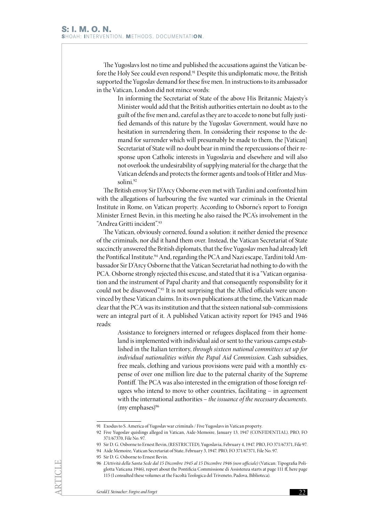The Yugoslavs lost no time and published the accusations against the Vatican before the Holy See could even respond.<sup>91</sup> Despite this undiplomatic move, the British supported the Yugoslav demand for these five men. In instructions to its ambassador in the Vatican, London did not mince words:

In informing the Secretariat of State of the above His Britannic Majesty's Minister would add that the British authorities entertain no doubt as to the guilt of the five men and, careful as they are to accede to none but fully justified demands of this nature by the Yugoslav Government, would have no hesitation in surrendering them. In considering their response to the demand for surrender which will presumably be made to them, the [Vatican] Secretariat of State will no doubt bear in mind the repercussions of their response upon Catholic interests in Yugoslavia and elsewhere and will also not overlook the undesirability of supplying material for the charge that the Vatican defends and protects the former agents and tools of Hitler and Mussolini.92

The British envoy Sir D'Arcy Osborne even met with Tardini and confronted him with the allegations of harbouring the five wanted war criminals in the Oriental Institute in Rome, on Vatican property. According to Osborne's report to Foreign Minister Ernest Bevin, in this meeting he also raised the PCA's involvement in the "Andrea Gritti incident".93

The Vatican, obviously cornered, found a solution: it neither denied the presence of the criminals, nor did it hand them over. Instead, the Vatican Secretariat of State succinctly answered the British diplomats, that the five Yugoslav men had already left the Pontifical Institute.<sup>94</sup> And, regarding the PCA and Nazi escape, Tardini told Ambassador Sir D'Arcy Osborne that the Vatican Secretariat had nothing to do with the PCA. Osborne strongly rejected this excuse, and stated that it is a "Vatican organisation and the instrument of Papal charity and that consequently responsibility for it could not be disavowed".<sup>95</sup> It is not surprising that the Allied officials were unconvinced by these Vatican claims. In its own publications at the time, the Vatican made clear that the PCA was its institution and that the sixteen national sub-commissions were an integral part of it. A published Vatican activity report for 1945 and 1946 reads:

> Assistance to foreigners interned or refugees displaced from their homeland is implemented with individual aid or sent to the various camps established in the Italian territory, *through sixteen national committees set up for individual nationalities within the Papal Aid Commission*. Cash subsidies, free meals, clothing and various provisions were paid with a monthly expense of over one million lire due to the paternal charity of the Supreme Pontiff. The PCA was also interested in the emigration of those foreign refugees who intend to move to other countries, facilitating – in agreement with the international authorities – *the issuance of the necessary documents.* (my emphases) $96$

<sup>91</sup> Exodus to S. America of Yugoslav war criminals / Five Yugoslavs in Vatican property.

<sup>92</sup> Five Yugoslav quislings alleged in Vatican, Aide-Memoire, January 13, 1947 (CONFIDENTIAL). PRO, FO 371/67370, File No. 97.

<sup>93</sup> Sir D. G. Osborne to Ernest Bevin, (RESTRICTED), Yugoslavia, February 4, 1947. PRO, FO 371/67371, File 97.

<sup>94</sup> Aide Memoire, Vatican Secretariat of State, February 3, 1947. PRO, FO 371/67371, File No. 97.

<sup>95</sup> Sir D. G. Osborne to Ernest Bevin.

<sup>96</sup> *L'Attività della Santa Sede dal 15 Dicembre 1945 al 15 Dicembre 1946 (non ufficiale)* (Vatican: Tipografia Poliglotta Vaticana 1946), report about the Pontificia Commissione di Assistenza starts at page 111 ff, here page 115 (I consulted these volumes at the Facoltà Teologica del Triveneto, Padova, Biblioteca).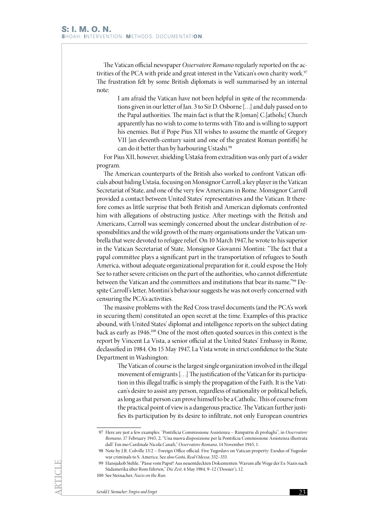The Vatican official newspaper *Osservatore Romano* regularly reported on the activities of the PCA with pride and great interest in the Vatican's own charity work.<sup>97</sup> The frustration felt by some British diplomats is well summarised by an internal note:

I am afraid the Vatican have not been helpful in spite of the recommendations given in our letter of Jan. 3 to Sir D. Osborne […] and duly passed on to the Papal authorities. The main fact is that the R.[oman] C.[atholic] Church apparently has no wish to come to terms with Tito and is willing to support his enemies. But if Pope Pius XII wishes to assume the mantle of Gregory VII [an eleventh-century saint and one of the greatest Roman pontiffs] he can do it better than by harbouring Ustashi.<sup>98</sup>

For Pius XII, however, shielding Ustaša from extradition was only part of a wider program.

The American counterparts of the British also worked to confront Vatican officials about hiding Ustaša, focusing on Monsignor Carroll, a key player in the Vatican Secretariat of State, and one of the very few Americans in Rome. Monsignor Carroll provided a contact between United States' representatives and the Vatican. It therefore comes as little surprise that both British and American diplomats confronted him with allegations of obstructing justice. After meetings with the British and Americans, Carroll was seemingly concerned about the unclear distribution of responsibilities and the wild growth of the many organisations under the Vatican umbrella that were devoted to refugee relief. On 10 March 1947, he wrote to his superior in the Vatican Secretariat of State, Monsignor Giovanni Montini: "The fact that a papal committee plays a significant part in the transportation of refugees to South America, without adequate organizational preparation for it, could expose the Holy See to rather severe criticism on the part of the authorities, who cannot differentiate between the Vatican and the committees and institutions that bear its name."99 Despite Carroll's letter, Montini's behaviour suggests he was not overly concerned with censuring the PCA's activities.

The massive problems with the Red Cross travel documents (and the PCA's work in securing them) constituted an open secret at the time. Examples of this practice abound, with United States' diplomat and intelligence reports on the subject dating back as early as 1946.100 One of the most often quoted sources in this context is the report by Vincent La Vista, a senior official at the United States' Embassy in Rome, declassified in 1984. On 15 May 1947, La Vista wrote in strict confidence to the State Department in Washington:

The Vatican of course is the largest single organization involved in the illegal movement of emigrants [. . .] The justification of the Vatican for its participation in this illegal traffic is simply the propagation of the Faith. It is the Vatican's desire to assist any person, regardless of nationality or political beliefs, as long as that person can prove himself to be a Catholic. This of course from the practical point of view is a dangerous practice. The Vatican further justifies its participation by its desire to infiltrate, not only European countries

<sup>97</sup> Here are just a few examples: "Pontificia Commissione Assistenza – Rimpatrie di profughi", in *Osservatore Romano*, 17 February 1945, 2; "Una nuova disposizione per la Pontificia Commissione Assistenza illustrata dall' Em.mo Cardinale Nicola Canali," *Osservatore Romano*, 14 November 1945, 1.

<sup>98</sup> Note by J.R. Colville 13/2 – Foreign Office official. Five Yugoslavs on Vatican property: Exodus of Yugoslav war criminals to S. America. See also Goñi, *Real Odessa*, 332–333.

<sup>99</sup> Hansjakob Stehle, "Pässe vom Papst? Aus neuentdeckten Dokumenten: Warum alle Wege der Ex-Nazis nach Südamerika über Rom führten," *Die Zeit*, 4 May 1984, 9–12 ('Dossier'), 12.

<sup>100</sup> See Steinacher, *Nazis on the Run.*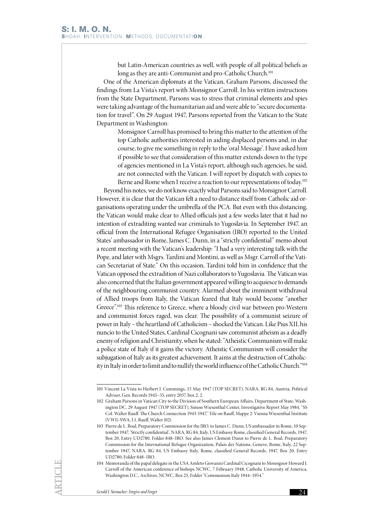but Latin-American countries as well, with people of all political beliefs as long as they are anti-Communist and pro-Catholic Church.<sup>101</sup>

One of the American diplomats at the Vatican, Graham Parsons, discussed the findings from La Vista's report with Monsignor Carroll. In his written instructions from the State Department, Parsons was to stress that criminal elements and spies were taking advantage of the humanitarian aid and were able to "secure documentation for travel". On 29 August 1947, Parsons reported from the Vatican to the State Department in Washington:

Monsignor Carroll has promised to bring this matter to the attention of the top Catholic authorities interested in aiding displaced persons and, in due course, to give me something in reply to the 'oral Message'. I have asked him if possible to see that consideration of this matter extends down to the type of agencies mentioned in La Vista's report, although such agencies, he said, are not connected with the Vatican. I will report by dispatch with copies to Berne and Rome when I receive a reaction to our representations of today.<sup>102</sup>

Beyond his notes, we do not know exactly what Parsons said to Monsignor Carroll. However, it is clear that the Vatican felt a need to distance itself from Catholic aid organisations operating under the umbrella of the PCA. But even with this distancing, the Vatican would make clear to Allied officials just a few weeks later that it had no intention of extraditing wanted war criminals to Yugoslavia. In September 1947, an official from the International Refugee Organisation (IRO) reported to the United States' ambassador in Rome, James C. Dunn, in a "strictly confidential" memo about a recent meeting with the Vatican's leadership: "I had a very interesting talk with the Pope, and later with Msgrs. Tardini and Montini, as well as Msgr. Carroll of the Vatican Secretariat of State." On this occasion, Tardini told him in confidence that the Vatican opposed the extradition of Nazi collaborators to Yugoslavia. The Vatican was also concerned that the Italian government appeared willing to acquiesce to demands of the neighbouring communist country. Alarmed about the imminent withdrawal of Allied troops from Italy, the Vatican feared that Italy would become "another Greece".103 This reference to Greece, where a bloody civil war between pro-Western and communist forces raged, was clear. The possibility of a communist seizure of power in Italy – the heartland of Catholicism – shocked the Vatican. Like Pius XII, his nuncio to the United States, Cardinal Cicognani saw communist atheism as a deadly enemy of religion and Christianity, when he stated: "Atheistic Communism will make a police state of Italy if it gains the victory. Atheistic Communism will consider the subjugation of Italy as its greatest achievement. It aims at the destruction of Catholicity in Italy in order to limit and to nullify the world influence of the Catholic Church."104

<sup>101</sup> Vincent La Vista to Herbert J. Cummings, 15 May 1947 (TOP SECRET), NARA, RG 84, Austria, Political Adviser, Gen. Records 1945–55, entry 2057, box 2, 2.

<sup>102</sup> Graham Parsons in Vatican City to the Division of Southern European Affairs, Department of State, Washington DC, 29 August 1947 (TOP SECRET), Simon Wiesenthal Center, Investigative Report May 1984, "SS Col. Walter Rauff: The Church Connection 1943-1947," File on Rauff, Mappe 2: Vienna Wiesenthal Institute (VWI)-SWA, I.1, Rauff, Walter (02).

<sup>103</sup> Pierre de L. Boal, Preparatory Commission for the IRO, to James C. Dunn, US ambassador in Rome, 10 September 1947, 'Strictly confidential', NARA, RG 84, Italy, US Embassy Rome, classified General Records, 1947, Box 20, Entry UD2780, Folder 848–IRO. See also James Clement Dunn to Pierre de L. Boal, Preparatory Commission for the International Refugee Organization, Palais des Nations, Geneve, Rome, Italy, 22 September 1947, NARA, RG 84, US Embassy Italy, Rome, classified General Records, 1947, Box 20, Entry UD2780, Folder 848–IRO.

<sup>104</sup> Memoranda of the papal delegate in the USA Amleto Giovanni Cardinal Cicognani to Monsignor Howard J. Carroll of the American conference of bishops NCWC, 7 February 1948, Catholic University of America, Washington D.C., Archives, NCWC, Box 25, Folder "Communism Italy 1944–1954."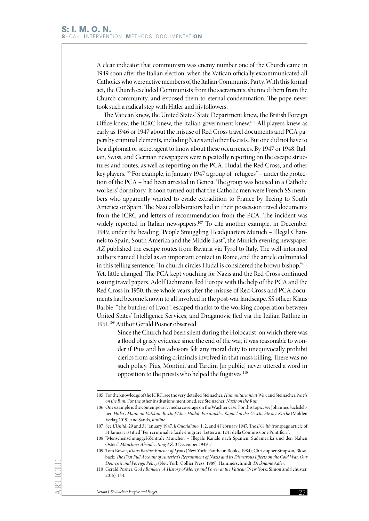A clear indicator that communism was enemy number one of the Church came in 1949 soon after the Italian election, when the Vatican officially excommunicated all Catholics who were active members of the Italian Communist Party. With this formal act, the Church excluded Communists from the sacraments, shunned them from the Church community, and exposed them to eternal condemnation. The pope never took such a radical step with Hitler and his followers.

The Vatican knew, the United States' State Department knew, the British Foreign Office knew, the ICRC knew, the Italian government knew.105 All players knew as early as 1946 or 1947 about the misuse of Red Cross travel documents and PCA papers by criminal elements, including Nazis and other fascists. But one did not have to be a diplomat or secret agent to know about these occurrences. By 1947 or 1948, Italian, Swiss, and German newspapers were repeatedly reporting on the escape structures and routes, as well as reporting on the PCA, Hudal, the Red Cross, and other key players.<sup>106</sup> For example, in January 1947 a group of "refugees" – under the protection of the PCA – had been arrested in Genoa. The group was housed in a Catholic workers' dormitory. It soon turned out that the Catholic men were French SS members who apparently wanted to evade extradition to France by fleeing to South America or Spain. The Nazi collaborators had in their possession travel documents from the ICRC and letters of recommendation from the PCA. The incident was widely reported in Italian newspapers.<sup>107</sup> To cite another example, in December 1949, under the heading "People Smuggling Headquarters Munich – Illegal Channels to Spain, South America and the Middle East", the Munich evening newspaper *AZ* published the escape routes from Bavaria via Tyrol to Italy. The well-informed authors named Hudal as an important contact in Rome, and the article culminated in this telling sentence: "In church circles Hudal is considered the brown bishop."<sup>108</sup> Yet, little changed. The PCA kept vouching for Nazis and the Red Cross continued issuing travel papers. Adolf Eichmann fled Europe with the help of the PCA and the Red Cross in 1950, three whole years after the misuse of Red Cross and PCA documents had become known to all involved in the post-war landscape. SS officer Klaus Barbie, "the butcher of Lyon", escaped thanks to the working cooperation between United States' Intelligence Services, and Draganović fled via the Italian Ratline in 1951.109 Author Gerald Posner observed:

Since the Church had been silent during the Holocaust, on which there was a flood of grisly evidence since the end of the war, it was reasonable to wonder if Pius and his advisors felt any moral duty to unequivocally prohibit clerics from assisting criminals involved in that mass killing. There was no such policy. Pius, Montini, and Tardini [in public] never uttered a word in opposition to the priests who helped the fugitives.110

<sup>105</sup> For the knowledge of the ICRC, see the very detailed Steinacher, *Humanitarians at War*, and Steinacher, *Nazis on the Run.* For the other institutions mentioned, see Steinacher, *Nazis on the Run.*

<sup>106</sup> One example is the contemporary media coverage on the Wächter case. For this topic, see Johannes Sachslehner, *Hitlers Mann im Vatikan: Bischof Alois Hudal. Ein dunkles Kapitel in der Geschichte der Kirche* (Molden Verlag 2019), and Sands, *Ratline.*

<sup>107</sup> See *L'Unità,* 29 and 31 January 1947, *Il Quotidiano*, 1, 2, and 4 February 1947. The *L'Unità* frontpage article of 31 January is titled "Per i criminali è facile emigrare: Lettera n. 1241 della Commissione Pontificia".

<sup>108</sup> "Menschenschmuggel-Zentrale München – Illegale Kanäle nach Spanien, Südamerika und den Nahen Osten," *Münchner Abendzeitung AZ,* 3 December 1949, 7.

<sup>109</sup> Tom Bower, *Klaus Barbie: Butcher of Lyons* (New York: Pantheon Books, 1984); Christopher Simpson*,* Blowback: *The First Full Account of America's Recruitment of Nazis and its Disastrous Effects on the Cold War, Our Domestic and Foreign Policy* (New York: Collier Press, 1989); Hammerschmidt, *Deckname Adler.*

<sup>110</sup> Gerald Posner, *God's Bankers: A History of Money and Power at the Vatican* (New York: Simon and Schuster, 2015), 144.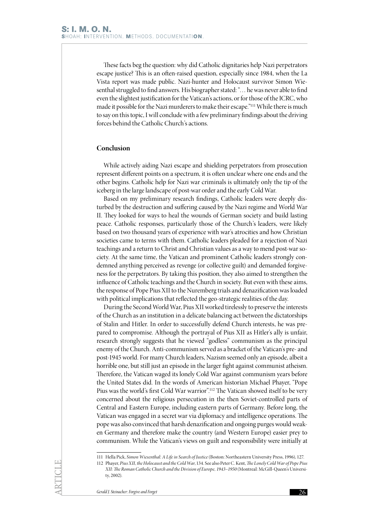These facts beg the question: why did Catholic dignitaries help Nazi perpetrators escape justice? This is an often-raised question, especially since 1984, when the La Vista report was made public. Nazi-hunter and Holocaust survivor Simon Wiesenthal struggled to find answers. His biographer stated: "… he was never able to find even the slightest justification for the Vatican's actions, or for those of the ICRC, who made it possible for the Nazi murderers to make their escape."111 While there is much to say on this topic, I will conclude with a few preliminary findings about the driving forces behind the Catholic Church's actions.

# **Conclusion**

While actively aiding Nazi escape and shielding perpetrators from prosecution represent different points on a spectrum, it is often unclear where one ends and the other begins. Catholic help for Nazi war criminals is ultimately only the tip of the iceberg in the large landscape of post-war order and the early Cold War.

Based on my preliminary research findings, Catholic leaders were deeply disturbed by the destruction and suffering caused by the Nazi regime and World War II. They looked for ways to heal the wounds of German society and build lasting peace. Catholic responses, particularly those of the Church's leaders, were likely based on two thousand years of experience with war's atrocities and how Christian societies came to terms with them. Catholic leaders pleaded for a rejection of Nazi teachings and a return to Christ and Christian values as a way to mend post-war society. At the same time, the Vatican and prominent Catholic leaders strongly condemned anything perceived as revenge (or collective guilt) and demanded forgiveness for the perpetrators. By taking this position, they also aimed to strengthen the influence of Catholic teachings and the Church in society. But even with these aims, the response of Pope Pius XII to the Nuremberg trials and denazification was loaded with political implications that reflected the geo-strategic realities of the day.

During the Second World War, Pius XII worked tirelessly to preserve the interests of the Church as an institution in a delicate balancing act between the dictatorships of Stalin and Hitler. In order to successfully defend Church interests, he was prepared to compromise. Although the portrayal of Pius XII as Hitler's ally is unfair, research strongly suggests that he viewed "godless" communism as the principal enemy of the Church. Anti-communism served as a bracket of the Vatican's pre- and post-1945 world. For many Church leaders, Nazism seemed only an episode, albeit a horrible one, but still just an episode in the larger fight against communist atheism. Therefore, the Vatican waged its lonely Cold War against communism years before the United States did. In the words of American historian Michael Phayer, "Pope Pius was the world's first Cold War warrior".112 The Vatican showed itself to be very concerned about the religious persecution in the then Soviet-controlled parts of Central and Eastern Europe, including eastern parts of Germany. Before long, the Vatican was engaged in a secret war via diplomacy and intelligence operations. The pope was also convinced that harsh denazification and ongoing purges would weaken Germany and therefore make the country (and Western Europe) easier prey to communism. While the Vatican's views on guilt and responsibility were initially at

<sup>111</sup> Hella Pick, *Simon Wiesenthal: A Life in Search of Justice* (Boston: Northeastern University Press, 1996), 127.

<sup>112</sup> Phayer, *Pius XII, the Holocaust and the Cold War*, 134. See also Peter C. Kent, *The Lonely Cold War of Pope Pius XII: The Roman Catholic Church and the Division of Europe, 1943–1950* (Montreal: McGill-Queen's University, 2002).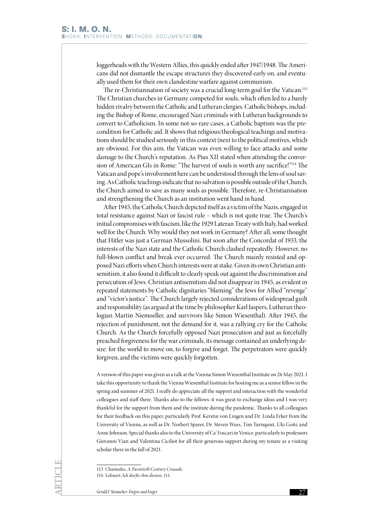loggerheads with the Western Allies, this quickly ended after 1947/1948. The Americans did not dismantle the escape structures they discovered early on, and eventually used them for their own clandestine warfare against communism.

The re-Christianisation of society was a crucial long-term goal for the Vatican.<sup>113</sup> The Christian churches in Germany competed for souls, which often led to a barely hidden rivalry between the Catholic and Lutheran clergies. Catholic bishops, including the Bishop of Rome, encouraged Nazi criminals with Lutheran backgrounds to convert to Catholicism. In some not-so-rare cases, a Catholic baptism was the precondition for Catholic aid. It shows that religious/theological teachings and motivations should be studied seriously in this context (next to the political motives, which are obvious). For this aim, the Vatican was even willing to face attacks and some damage to the Church's reputation. As Pius XII stated when attending the conversion of American GIs in Rome: "The harvest of souls is worth any sacrifice!"114 The Vatican and pope's involvement here can be understood through the lens of soul saving. As Catholic teachings indicate that no salvation is possible outside of the Church, the Church aimed to save as many souls as possible. Therefore, re-Christianisation and strengthening the Church as an institution went hand in hand.

After 1945, the Catholic Church depicted itself as a victim of the Nazis, engaged in total resistance against Nazi or fascist rule – which is not quite true. The Church's initial compromises with fascism, like the 1929 Lateran Treaty with Italy, had worked well for the Church. Why would they not work in Germany? After all, some thought that Hitler was just a German Mussolini. But soon after the Concordat of 1933, the interests of the Nazi state and the Catholic Church clashed repeatedly. However, no full-blown conflict and break ever occurred. The Church mainly resisted and opposed Nazi efforts when Church interests were at stake. Given its own Christian antisemitism, it also found it difficult to clearly speak out against the discrimination and persecution of Jews. Christian antisemitism did not disappear in 1945, as evident in repeated statements by Catholic dignitaries "blaming" the Jews for Allied "revenge" and "victor's justice". The Church largely rejected considerations of widespread guilt and responsibility (as argued at the time by philosopher Karl Jaspers, Lutheran theologian Martin Niemoeller, and survivors like Simon Wiesenthal). After 1945, the rejection of punishment, not the demand for it, was a rallying cry for the Catholic Church. As the Church forcefully opposed Nazi prosecution and just as forcefully preached forgiveness for the war criminals, its message contained an underlying desire: for the world to move on, to forgive and forget. The perpetrators were quickly forgiven, and the victims were quickly forgotten.

A version of this paper was given as a talk at the Vienna Simon Wiesenthal Institute on 26 May 2021. I take this opportunity to thank the Vienna Wiesenthal Institute for hosting me as a senior fellow in the spring and summer of 2021. I really do appreciate all the support and interaction with the wonderful colleagues and staff there. Thanks also to the fellows: it was great to exchange ideas and I was very thankful for the support from them and the institute during the pandemic. Thanks to all colleagues for their feedback on this paper, particularly Prof. Kerstin von Lingen and Dr. Linda Erker from the University of Vienna, as well as Dr. Norbert Sparer, Dr. Steven Wees, Tim Turnquist, Uki Goñi, and Anne Johnson. Special thanks also to the University of Ca' Foscari in Venice, particularly to professors Giovanni Vian and Valentina Ciciliot for all their generous support during my tenure as a visiting scholar there in the fall of 2021.

<sup>113</sup> Chamedes, *A Twentieth Century Crusade.*

<sup>114</sup> Lehnert, *Ich durfte ihm dienen*, 111.